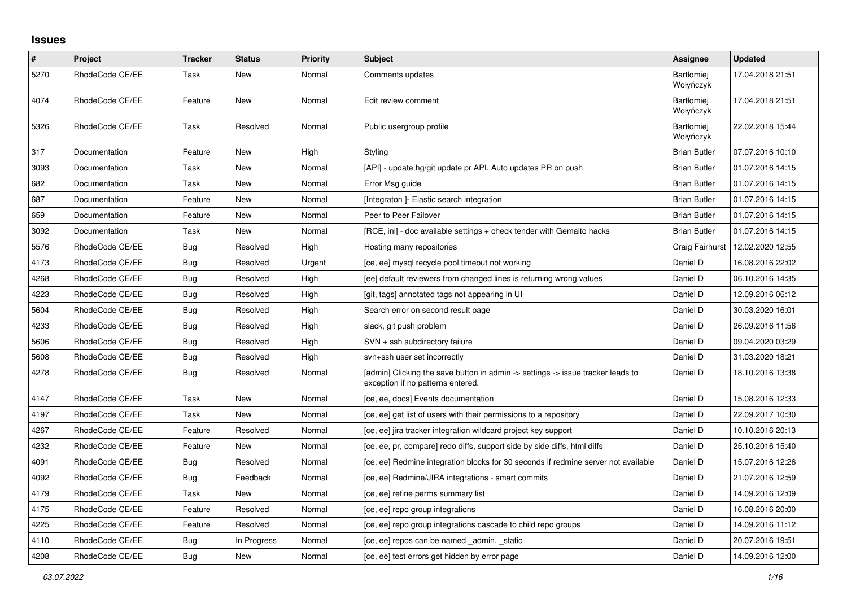## **Issues**

| $\vert$ # | Project         | Tracker    | <b>Status</b> | <b>Priority</b> | <b>Subject</b>                                                                                                       | <b>Assignee</b>                | <b>Updated</b>   |
|-----------|-----------------|------------|---------------|-----------------|----------------------------------------------------------------------------------------------------------------------|--------------------------------|------------------|
| 5270      | RhodeCode CE/EE | Task       | New           | Normal          | Comments updates                                                                                                     | <b>Bartłomiei</b><br>Wołyńczyk | 17.04.2018 21:51 |
| 4074      | RhodeCode CE/EE | Feature    | New           | Normal          | Edit review comment                                                                                                  | <b>Bartłomiei</b><br>Wołyńczyk | 17.04.2018 21:51 |
| 5326      | RhodeCode CE/EE | Task       | Resolved      | Normal          | Public usergroup profile                                                                                             | <b>Bartłomiei</b><br>Wołyńczyk | 22.02.2018 15:44 |
| 317       | Documentation   | Feature    | <b>New</b>    | High            | Styling                                                                                                              | <b>Brian Butler</b>            | 07.07.2016 10:10 |
| 3093      | Documentation   | Task       | New           | Normal          | [API] - update hg/git update pr API. Auto updates PR on push                                                         | <b>Brian Butler</b>            | 01.07.2016 14:15 |
| 682       | Documentation   | Task       | New           | Normal          | Error Msg guide                                                                                                      | <b>Brian Butler</b>            | 01.07.2016 14:15 |
| 687       | Documentation   | Feature    | New           | Normal          | [Integraton] - Elastic search integration                                                                            | <b>Brian Butler</b>            | 01.07.2016 14:15 |
| 659       | Documentation   | Feature    | New           | Normal          | Peer to Peer Failover                                                                                                | <b>Brian Butler</b>            | 01.07.2016 14:15 |
| 3092      | Documentation   | Task       | New           | Normal          | [RCE, ini] - doc available settings + check tender with Gemalto hacks                                                | <b>Brian Butler</b>            | 01.07.2016 14:15 |
| 5576      | RhodeCode CE/EE | Bug        | Resolved      | High            | Hosting many repositories                                                                                            | Craig Fairhurst                | 12.02.2020 12:55 |
| 4173      | RhodeCode CE/EE | <b>Bug</b> | Resolved      | Urgent          | [ce, ee] mysql recycle pool timeout not working                                                                      | Daniel D                       | 16.08.2016 22:02 |
| 4268      | RhodeCode CE/EE | <b>Bug</b> | Resolved      | High            | [ee] default reviewers from changed lines is returning wrong values                                                  | Daniel D                       | 06.10.2016 14:35 |
| 4223      | RhodeCode CE/EE | Bug        | Resolved      | High            | [git, tags] annotated tags not appearing in UI                                                                       | Daniel D                       | 12.09.2016 06:12 |
| 5604      | RhodeCode CE/EE | Bug        | Resolved      | High            | Search error on second result page                                                                                   | Daniel D                       | 30.03.2020 16:01 |
| 4233      | RhodeCode CE/EE | Bug        | Resolved      | High            | slack, git push problem                                                                                              | Daniel D                       | 26.09.2016 11:56 |
| 5606      | RhodeCode CE/EE | <b>Bug</b> | Resolved      | High            | $SVN +$ ssh subdirectory failure                                                                                     | Daniel D                       | 09.04.2020 03:29 |
| 5608      | RhodeCode CE/EE | <b>Bug</b> | Resolved      | High            | svn+ssh user set incorrectly                                                                                         | Daniel D                       | 31.03.2020 18:21 |
| 4278      | RhodeCode CE/EE | Bug        | Resolved      | Normal          | [admin] Clicking the save button in admin -> settings -> issue tracker leads to<br>exception if no patterns entered. | Daniel D                       | 18.10.2016 13:38 |
| 4147      | RhodeCode CE/EE | Task       | <b>New</b>    | Normal          | [ce, ee, docs] Events documentation                                                                                  | Daniel D                       | 15.08.2016 12:33 |
| 4197      | RhodeCode CE/EE | Task       | New           | Normal          | [ce, ee] get list of users with their permissions to a repository                                                    | Daniel D                       | 22.09.2017 10:30 |
| 4267      | RhodeCode CE/EE | Feature    | Resolved      | Normal          | [ce, ee] jira tracker integration wildcard project key support                                                       | Daniel D                       | 10.10.2016 20:13 |
| 4232      | RhodeCode CE/EE | Feature    | <b>New</b>    | Normal          | [ce, ee, pr, compare] redo diffs, support side by side diffs, html diffs                                             | Daniel D                       | 25.10.2016 15:40 |
| 4091      | RhodeCode CE/EE | Bug        | Resolved      | Normal          | [ce, ee] Redmine integration blocks for 30 seconds if redmine server not available                                   | Daniel D                       | 15.07.2016 12:26 |
| 4092      | RhodeCode CE/EE | Bug        | Feedback      | Normal          | [ce, ee] Redmine/JIRA integrations - smart commits                                                                   | Daniel D                       | 21.07.2016 12:59 |
| 4179      | RhodeCode CE/EE | Task       | <b>New</b>    | Normal          | [ce, ee] refine perms summary list                                                                                   | Daniel D                       | 14.09.2016 12:09 |
| 4175      | RhodeCode CE/EE | Feature    | Resolved      | Normal          | [ce, ee] repo group integrations                                                                                     | Daniel D                       | 16.08.2016 20:00 |
| 4225      | RhodeCode CE/EE | Feature    | Resolved      | Normal          | [ce, ee] repo group integrations cascade to child repo groups                                                        | Daniel D                       | 14.09.2016 11:12 |
| 4110      | RhodeCode CE/EE | Bug        | In Progress   | Normal          | [ce, ee] repos can be named admin, static                                                                            | Daniel D                       | 20.07.2016 19:51 |
| 4208      | RhodeCode CE/EE | Bug        | New           | Normal          | [ce, ee] test errors get hidden by error page                                                                        | Daniel D                       | 14.09.2016 12:00 |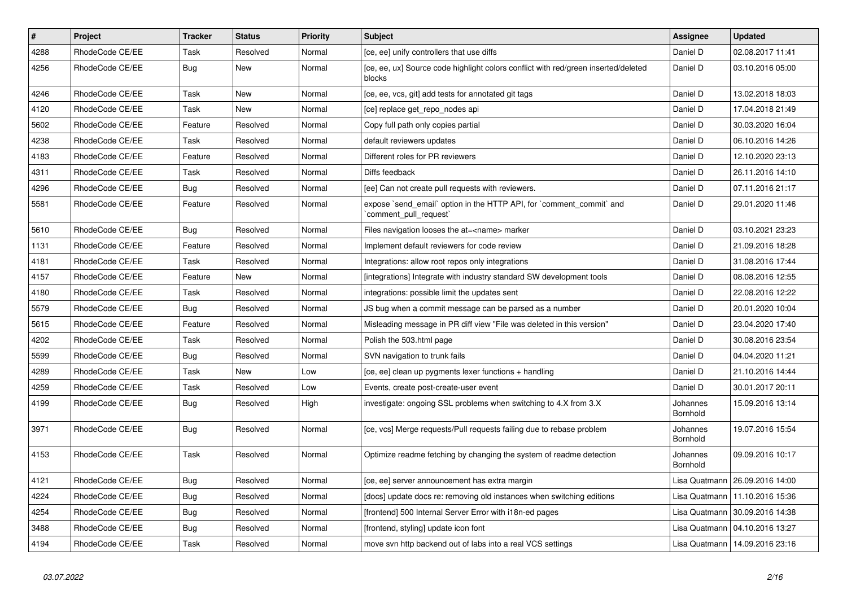| $\pmb{\#}$ | Project         | <b>Tracker</b> | <b>Status</b> | <b>Priority</b> | <b>Subject</b>                                                                                | Assignee                    | <b>Updated</b>                   |
|------------|-----------------|----------------|---------------|-----------------|-----------------------------------------------------------------------------------------------|-----------------------------|----------------------------------|
| 4288       | RhodeCode CE/EE | Task           | Resolved      | Normal          | [ce, ee] unify controllers that use diffs                                                     | Daniel D                    | 02.08.2017 11:41                 |
| 4256       | RhodeCode CE/EE | Bug            | <b>New</b>    | Normal          | [ce, ee, ux] Source code highlight colors conflict with red/green inserted/deleted<br>blocks  | Daniel D                    | 03.10.2016 05:00                 |
| 4246       | RhodeCode CE/EE | Task           | New           | Normal          | [ce, ee, vcs, git] add tests for annotated git tags                                           | Daniel D                    | 13.02.2018 18:03                 |
| 4120       | RhodeCode CE/EE | Task           | <b>New</b>    | Normal          | [ce] replace get_repo_nodes api                                                               | Daniel D                    | 17.04.2018 21:49                 |
| 5602       | RhodeCode CE/EE | Feature        | Resolved      | Normal          | Copy full path only copies partial                                                            | Daniel D                    | 30.03.2020 16:04                 |
| 4238       | RhodeCode CE/EE | Task           | Resolved      | Normal          | default reviewers updates                                                                     | Daniel D                    | 06.10.2016 14:26                 |
| 4183       | RhodeCode CE/EE | Feature        | Resolved      | Normal          | Different roles for PR reviewers                                                              | Daniel D                    | 12.10.2020 23:13                 |
| 4311       | RhodeCode CE/EE | Task           | Resolved      | Normal          | Diffs feedback                                                                                | Daniel D                    | 26.11.2016 14:10                 |
| 4296       | RhodeCode CE/EE | Bug            | Resolved      | Normal          | [ee] Can not create pull requests with reviewers.                                             | Daniel D                    | 07.11.2016 21:17                 |
| 5581       | RhodeCode CE/EE | Feature        | Resolved      | Normal          | expose `send email` option in the HTTP API, for `comment commit` and<br>comment pull request` | Daniel D                    | 29.01.2020 11:46                 |
| 5610       | RhodeCode CE/EE | Bug            | Resolved      | Normal          | Files navigation looses the at= <name> marker</name>                                          | Daniel D                    | 03.10.2021 23:23                 |
| 1131       | RhodeCode CE/EE | Feature        | Resolved      | Normal          | Implement default reviewers for code review                                                   | Daniel D                    | 21.09.2016 18:28                 |
| 4181       | RhodeCode CE/EE | Task           | Resolved      | Normal          | Integrations: allow root repos only integrations                                              | Daniel D                    | 31.08.2016 17:44                 |
| 4157       | RhodeCode CE/EE | Feature        | New           | Normal          | [integrations] Integrate with industry standard SW development tools                          | Daniel D                    | 08.08.2016 12:55                 |
| 4180       | RhodeCode CE/EE | Task           | Resolved      | Normal          | integrations: possible limit the updates sent                                                 | Daniel D                    | 22.08.2016 12:22                 |
| 5579       | RhodeCode CE/EE | Bug            | Resolved      | Normal          | JS bug when a commit message can be parsed as a number                                        | Daniel D                    | 20.01.2020 10:04                 |
| 5615       | RhodeCode CE/EE | Feature        | Resolved      | Normal          | Misleading message in PR diff view "File was deleted in this version"                         | Daniel D                    | 23.04.2020 17:40                 |
| 4202       | RhodeCode CE/EE | Task           | Resolved      | Normal          | Polish the 503.html page                                                                      | Daniel D                    | 30.08.2016 23:54                 |
| 5599       | RhodeCode CE/EE | Bug            | Resolved      | Normal          | SVN navigation to trunk fails                                                                 | Daniel D                    | 04.04.2020 11:21                 |
| 4289       | RhodeCode CE/EE | Task           | New           | Low             | [ce, ee] clean up pygments lexer functions + handling                                         | Daniel D                    | 21.10.2016 14:44                 |
| 4259       | RhodeCode CE/EE | Task           | Resolved      | Low             | Events, create post-create-user event                                                         | Daniel D                    | 30.01.2017 20:11                 |
| 4199       | RhodeCode CE/EE | <b>Bug</b>     | Resolved      | High            | investigate: ongoing SSL problems when switching to 4.X from 3.X                              | Johannes<br>Bornhold        | 15.09.2016 13:14                 |
| 3971       | RhodeCode CE/EE | <b>Bug</b>     | Resolved      | Normal          | [ce, vcs] Merge requests/Pull requests failing due to rebase problem                          | Johannes<br><b>Bornhold</b> | 19.07.2016 15:54                 |
| 4153       | RhodeCode CE/EE | Task           | Resolved      | Normal          | Optimize readme fetching by changing the system of readme detection                           | Johannes<br><b>Bornhold</b> | 09.09.2016 10:17                 |
| 4121       | RhodeCode CE/EE | <b>Bug</b>     | Resolved      | Normal          | [ce, ee] server announcement has extra margin                                                 | Lisa Quatmann               | 26.09.2016 14:00                 |
| 4224       | RhodeCode CE/EE | Bug            | Resolved      | Normal          | [docs] update docs re: removing old instances when switching editions                         | Lisa Quatmann               | 11.10.2016 15:36                 |
| 4254       | RhodeCode CE/EE | Bug            | Resolved      | Normal          | [frontend] 500 Internal Server Error with i18n-ed pages                                       | Lisa Quatmann               | 30.09.2016 14:38                 |
| 3488       | RhodeCode CE/EE | Bug            | Resolved      | Normal          | [frontend, styling] update icon font                                                          |                             | Lisa Quatmann   04.10.2016 13:27 |
| 4194       | RhodeCode CE/EE | Task           | Resolved      | Normal          | move svn http backend out of labs into a real VCS settings                                    |                             | Lisa Quatmann   14.09.2016 23:16 |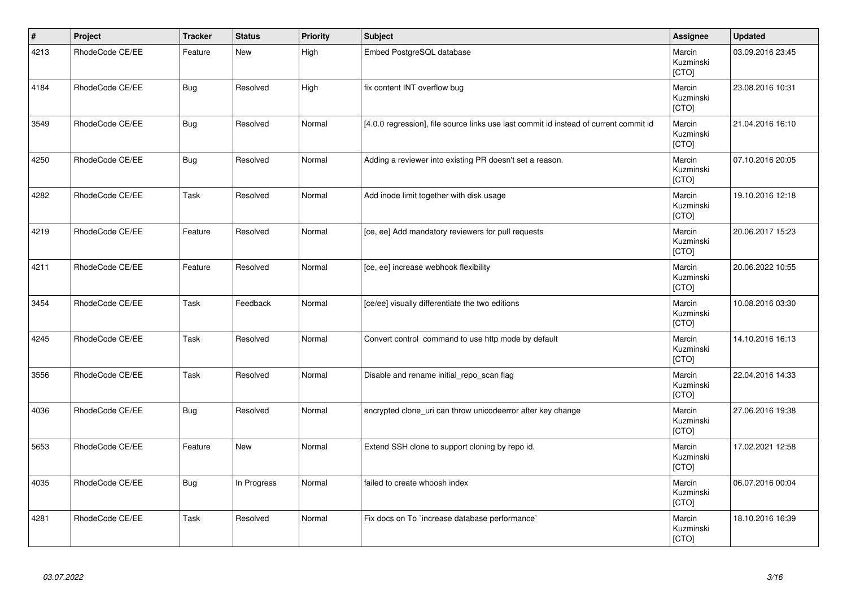| $\vert$ # | Project         | <b>Tracker</b> | <b>Status</b> | <b>Priority</b> | <b>Subject</b>                                                                        | Assignee                     | <b>Updated</b>   |
|-----------|-----------------|----------------|---------------|-----------------|---------------------------------------------------------------------------------------|------------------------------|------------------|
| 4213      | RhodeCode CE/EE | Feature        | <b>New</b>    | High            | Embed PostgreSQL database                                                             | Marcin<br>Kuzminski<br>[CTO] | 03.09.2016 23:45 |
| 4184      | RhodeCode CE/EE | <b>Bug</b>     | Resolved      | High            | fix content INT overflow bug                                                          | Marcin<br>Kuzminski<br>[CTO] | 23.08.2016 10:31 |
| 3549      | RhodeCode CE/EE | <b>Bug</b>     | Resolved      | Normal          | [4.0.0 regression], file source links use last commit id instead of current commit id | Marcin<br>Kuzminski<br>[CTO] | 21.04.2016 16:10 |
| 4250      | RhodeCode CE/EE | Bug            | Resolved      | Normal          | Adding a reviewer into existing PR doesn't set a reason.                              | Marcin<br>Kuzminski<br>[CTO] | 07.10.2016 20:05 |
| 4282      | RhodeCode CE/EE | Task           | Resolved      | Normal          | Add inode limit together with disk usage                                              | Marcin<br>Kuzminski<br>[CTO] | 19.10.2016 12:18 |
| 4219      | RhodeCode CE/EE | Feature        | Resolved      | Normal          | [ce, ee] Add mandatory reviewers for pull requests                                    | Marcin<br>Kuzminski<br>[CTO] | 20.06.2017 15:23 |
| 4211      | RhodeCode CE/EE | Feature        | Resolved      | Normal          | [ce, ee] increase webhook flexibility                                                 | Marcin<br>Kuzminski<br>[CTO] | 20.06.2022 10:55 |
| 3454      | RhodeCode CE/EE | Task           | Feedback      | Normal          | [ce/ee] visually differentiate the two editions                                       | Marcin<br>Kuzminski<br>[CTO] | 10.08.2016 03:30 |
| 4245      | RhodeCode CE/EE | Task           | Resolved      | Normal          | Convert control command to use http mode by default                                   | Marcin<br>Kuzminski<br>[CTO] | 14.10.2016 16:13 |
| 3556      | RhodeCode CE/EE | Task           | Resolved      | Normal          | Disable and rename initial repo scan flag                                             | Marcin<br>Kuzminski<br>[CTO] | 22.04.2016 14:33 |
| 4036      | RhodeCode CE/EE | <b>Bug</b>     | Resolved      | Normal          | encrypted clone_uri can throw unicodeerror after key change                           | Marcin<br>Kuzminski<br>[CTO] | 27.06.2016 19:38 |
| 5653      | RhodeCode CE/EE | Feature        | New           | Normal          | Extend SSH clone to support cloning by repo id.                                       | Marcin<br>Kuzminski<br>[CTO] | 17.02.2021 12:58 |
| 4035      | RhodeCode CE/EE | <b>Bug</b>     | In Progress   | Normal          | failed to create whoosh index                                                         | Marcin<br>Kuzminski<br>[CTO] | 06.07.2016 00:04 |
| 4281      | RhodeCode CE/EE | Task           | Resolved      | Normal          | Fix docs on To `increase database performance`                                        | Marcin<br>Kuzminski<br>[CTO] | 18.10.2016 16:39 |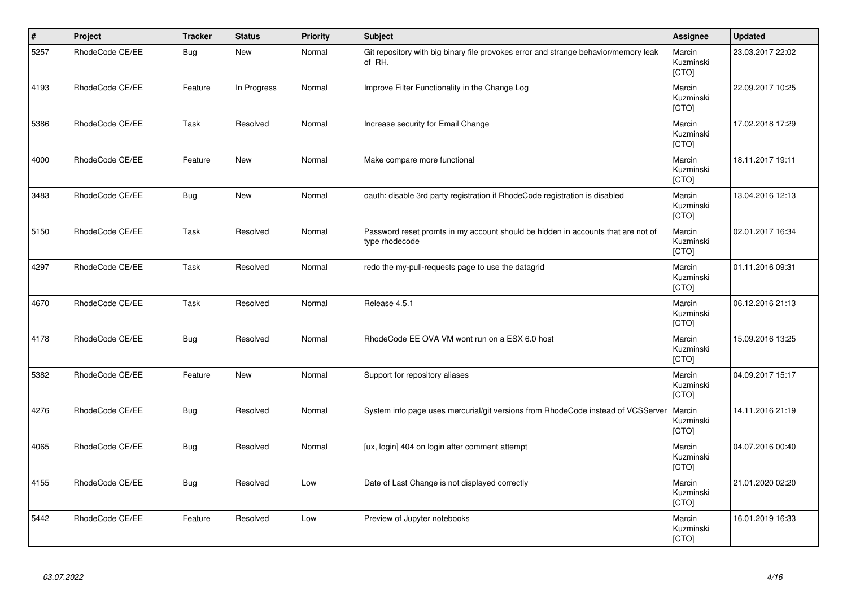| $\vert$ # | Project         | <b>Tracker</b> | <b>Status</b> | <b>Priority</b> | <b>Subject</b>                                                                                     | <b>Assignee</b>              | <b>Updated</b>   |
|-----------|-----------------|----------------|---------------|-----------------|----------------------------------------------------------------------------------------------------|------------------------------|------------------|
| 5257      | RhodeCode CE/EE | <b>Bug</b>     | <b>New</b>    | Normal          | Git repository with big binary file provokes error and strange behavior/memory leak<br>of RH.      | Marcin<br>Kuzminski<br>[CTO] | 23.03.2017 22:02 |
| 4193      | RhodeCode CE/EE | Feature        | In Progress   | Normal          | Improve Filter Functionality in the Change Log                                                     | Marcin<br>Kuzminski<br>[CTO] | 22.09.2017 10:25 |
| 5386      | RhodeCode CE/EE | Task           | Resolved      | Normal          | Increase security for Email Change                                                                 | Marcin<br>Kuzminski<br>[CTO] | 17.02.2018 17:29 |
| 4000      | RhodeCode CE/EE | Feature        | <b>New</b>    | Normal          | Make compare more functional                                                                       | Marcin<br>Kuzminski<br>[CTO] | 18.11.2017 19:11 |
| 3483      | RhodeCode CE/EE | Bug            | New           | Normal          | oauth: disable 3rd party registration if RhodeCode registration is disabled                        | Marcin<br>Kuzminski<br>[CTO] | 13.04.2016 12:13 |
| 5150      | RhodeCode CE/EE | Task           | Resolved      | Normal          | Password reset promts in my account should be hidden in accounts that are not of<br>type rhodecode | Marcin<br>Kuzminski<br>[CTO] | 02.01.2017 16:34 |
| 4297      | RhodeCode CE/EE | Task           | Resolved      | Normal          | redo the my-pull-requests page to use the datagrid                                                 | Marcin<br>Kuzminski<br>[CTO] | 01.11.2016 09:31 |
| 4670      | RhodeCode CE/EE | Task           | Resolved      | Normal          | Release 4.5.1                                                                                      | Marcin<br>Kuzminski<br>[CTO] | 06.12.2016 21:13 |
| 4178      | RhodeCode CE/EE | Bug            | Resolved      | Normal          | RhodeCode EE OVA VM wont run on a ESX 6.0 host                                                     | Marcin<br>Kuzminski<br>[CTO] | 15.09.2016 13:25 |
| 5382      | RhodeCode CE/EE | Feature        | <b>New</b>    | Normal          | Support for repository aliases                                                                     | Marcin<br>Kuzminski<br>[CTO] | 04.09.2017 15:17 |
| 4276      | RhodeCode CE/EE | Bug            | Resolved      | Normal          | System info page uses mercurial/git versions from RhodeCode instead of VCSServer                   | Marcin<br>Kuzminski<br>[CTO] | 14.11.2016 21:19 |
| 4065      | RhodeCode CE/EE | <b>Bug</b>     | Resolved      | Normal          | [ux, login] 404 on login after comment attempt                                                     | Marcin<br>Kuzminski<br>[CTO] | 04.07.2016 00:40 |
| 4155      | RhodeCode CE/EE | <b>Bug</b>     | Resolved      | Low             | Date of Last Change is not displayed correctly                                                     | Marcin<br>Kuzminski<br>[CTO] | 21.01.2020 02:20 |
| 5442      | RhodeCode CE/EE | Feature        | Resolved      | Low             | Preview of Jupyter notebooks                                                                       | Marcin<br>Kuzminski<br>[CTO] | 16.01.2019 16:33 |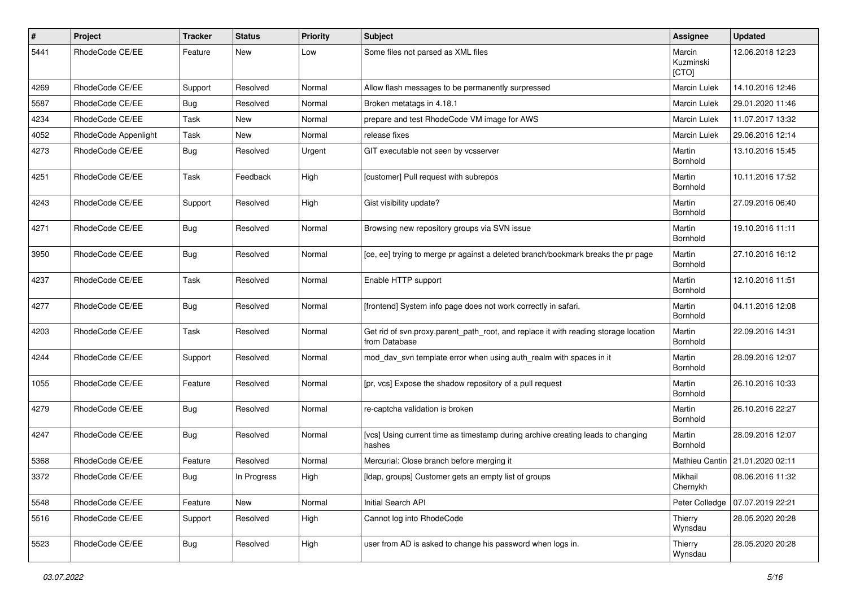| $\pmb{\#}$ | Project              | <b>Tracker</b> | <b>Status</b> | <b>Priority</b> | <b>Subject</b>                                                                                       | Assignee                     | <b>Updated</b>   |
|------------|----------------------|----------------|---------------|-----------------|------------------------------------------------------------------------------------------------------|------------------------------|------------------|
| 5441       | RhodeCode CE/EE      | Feature        | New           | Low             | Some files not parsed as XML files                                                                   | Marcin<br>Kuzminski<br>[CTO] | 12.06.2018 12:23 |
| 4269       | RhodeCode CE/EE      | Support        | Resolved      | Normal          | Allow flash messages to be permanently surpressed                                                    | Marcin Lulek                 | 14.10.2016 12:46 |
| 5587       | RhodeCode CE/EE      | Bug            | Resolved      | Normal          | Broken metatags in 4.18.1                                                                            | Marcin Lulek                 | 29.01.2020 11:46 |
| 4234       | RhodeCode CE/EE      | Task           | New           | Normal          | prepare and test RhodeCode VM image for AWS                                                          | Marcin Lulek                 | 11.07.2017 13:32 |
| 4052       | RhodeCode Appenlight | Task           | New           | Normal          | release fixes                                                                                        | Marcin Lulek                 | 29.06.2016 12:14 |
| 4273       | RhodeCode CE/EE      | Bug            | Resolved      | Urgent          | GIT executable not seen by vcsserver                                                                 | Martin<br>Bornhold           | 13.10.2016 15:45 |
| 4251       | RhodeCode CE/EE      | Task           | Feedback      | High            | [customer] Pull request with subrepos                                                                | Martin<br>Bornhold           | 10.11.2016 17:52 |
| 4243       | RhodeCode CE/EE      | Support        | Resolved      | High            | Gist visibility update?                                                                              | Martin<br>Bornhold           | 27.09.2016 06:40 |
| 4271       | RhodeCode CE/EE      | Bug            | Resolved      | Normal          | Browsing new repository groups via SVN issue                                                         | Martin<br>Bornhold           | 19.10.2016 11:11 |
| 3950       | RhodeCode CE/EE      | <b>Bug</b>     | Resolved      | Normal          | [ce, ee] trying to merge pr against a deleted branch/bookmark breaks the pr page                     | Martin<br>Bornhold           | 27.10.2016 16:12 |
| 4237       | RhodeCode CE/EE      | Task           | Resolved      | Normal          | Enable HTTP support                                                                                  | Martin<br>Bornhold           | 12.10.2016 11:51 |
| 4277       | RhodeCode CE/EE      | Bug            | Resolved      | Normal          | [frontend] System info page does not work correctly in safari.                                       | Martin<br>Bornhold           | 04.11.2016 12:08 |
| 4203       | RhodeCode CE/EE      | Task           | Resolved      | Normal          | Get rid of svn.proxy.parent_path_root, and replace it with reading storage location<br>from Database | Martin<br>Bornhold           | 22.09.2016 14:31 |
| 4244       | RhodeCode CE/EE      | Support        | Resolved      | Normal          | mod_dav_svn template error when using auth_realm with spaces in it                                   | Martin<br>Bornhold           | 28.09.2016 12:07 |
| 1055       | RhodeCode CE/EE      | Feature        | Resolved      | Normal          | [pr, vcs] Expose the shadow repository of a pull request                                             | Martin<br>Bornhold           | 26.10.2016 10:33 |
| 4279       | RhodeCode CE/EE      | Bug            | Resolved      | Normal          | re-captcha validation is broken                                                                      | Martin<br>Bornhold           | 26.10.2016 22:27 |
| 4247       | RhodeCode CE/EE      | Bug            | Resolved      | Normal          | [vcs] Using current time as timestamp during archive creating leads to changing<br>hashes            | Martin<br>Bornhold           | 28.09.2016 12:07 |
| 5368       | RhodeCode CE/EE      | Feature        | Resolved      | Normal          | Mercurial: Close branch before merging it                                                            | Mathieu Cantin               | 21.01.2020 02:11 |
| 3372       | RhodeCode CE/EE      | Bug            | In Progress   | High            | [Idap, groups] Customer gets an empty list of groups                                                 | Mikhail<br>Chernykh          | 08.06.2016 11:32 |
| 5548       | RhodeCode CE/EE      | Feature        | New           | Normal          | Initial Search API                                                                                   | Peter Colledge               | 07.07.2019 22:21 |
| 5516       | RhodeCode CE/EE      | Support        | Resolved      | High            | Cannot log into RhodeCode                                                                            | Thierry<br>Wynsdau           | 28.05.2020 20:28 |
| 5523       | RhodeCode CE/EE      | Bug            | Resolved      | High            | user from AD is asked to change his password when logs in.                                           | Thierry<br>Wynsdau           | 28.05.2020 20:28 |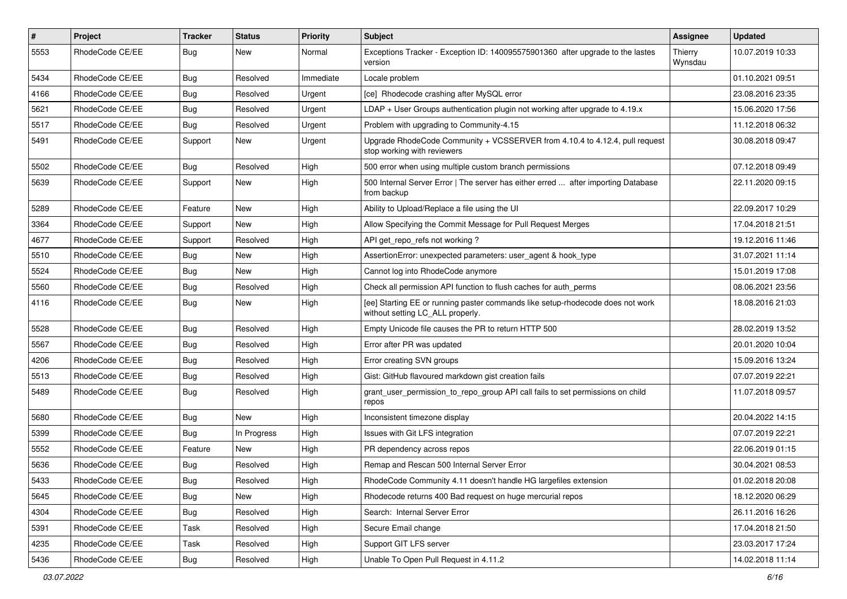| $\vert$ # | Project         | <b>Tracker</b> | <b>Status</b> | <b>Priority</b> | Subject                                                                                                            | <b>Assignee</b>    | <b>Updated</b>   |
|-----------|-----------------|----------------|---------------|-----------------|--------------------------------------------------------------------------------------------------------------------|--------------------|------------------|
| 5553      | RhodeCode CE/EE | Bug            | New           | Normal          | Exceptions Tracker - Exception ID: 140095575901360 after upgrade to the lastes<br>version                          | Thierry<br>Wynsdau | 10.07.2019 10:33 |
| 5434      | RhodeCode CE/EE | Bug            | Resolved      | Immediate       | Locale problem                                                                                                     |                    | 01.10.2021 09:51 |
| 4166      | RhodeCode CE/EE | <b>Bug</b>     | Resolved      | Urgent          | [ce] Rhodecode crashing after MySQL error                                                                          |                    | 23.08.2016 23:35 |
| 5621      | RhodeCode CE/EE | <b>Bug</b>     | Resolved      | Urgent          | LDAP + User Groups authentication plugin not working after upgrade to 4.19.x                                       |                    | 15.06.2020 17:56 |
| 5517      | RhodeCode CE/EE | Bug            | Resolved      | Urgent          | Problem with upgrading to Community-4.15                                                                           |                    | 11.12.2018 06:32 |
| 5491      | RhodeCode CE/EE | Support        | <b>New</b>    | Urgent          | Upgrade RhodeCode Community + VCSSERVER from 4.10.4 to 4.12.4, pull request<br>stop working with reviewers         |                    | 30.08.2018 09:47 |
| 5502      | RhodeCode CE/EE | Bug            | Resolved      | High            | 500 error when using multiple custom branch permissions                                                            |                    | 07.12.2018 09:49 |
| 5639      | RhodeCode CE/EE | Support        | New           | High            | 500 Internal Server Error   The server has either erred  after importing Database<br>from backup                   |                    | 22.11.2020 09:15 |
| 5289      | RhodeCode CE/EE | Feature        | New           | High            | Ability to Upload/Replace a file using the UI                                                                      |                    | 22.09.2017 10:29 |
| 3364      | RhodeCode CE/EE | Support        | <b>New</b>    | High            | Allow Specifying the Commit Message for Pull Request Merges                                                        |                    | 17.04.2018 21:51 |
| 4677      | RhodeCode CE/EE | Support        | Resolved      | High            | API get repo refs not working?                                                                                     |                    | 19.12.2016 11:46 |
| 5510      | RhodeCode CE/EE | <b>Bug</b>     | New           | High            | AssertionError: unexpected parameters: user agent & hook type                                                      |                    | 31.07.2021 11:14 |
| 5524      | RhodeCode CE/EE | Bug            | <b>New</b>    | High            | Cannot log into RhodeCode anymore                                                                                  |                    | 15.01.2019 17:08 |
| 5560      | RhodeCode CE/EE | Bug            | Resolved      | High            | Check all permission API function to flush caches for auth_perms                                                   |                    | 08.06.2021 23:56 |
| 4116      | RhodeCode CE/EE | Bug            | New           | High            | [ee] Starting EE or running paster commands like setup-rhodecode does not work<br>without setting LC_ALL properly. |                    | 18.08.2016 21:03 |
| 5528      | RhodeCode CE/EE | Bug            | Resolved      | High            | Empty Unicode file causes the PR to return HTTP 500                                                                |                    | 28.02.2019 13:52 |
| 5567      | RhodeCode CE/EE | Bug            | Resolved      | High            | Error after PR was updated                                                                                         |                    | 20.01.2020 10:04 |
| 4206      | RhodeCode CE/EE | Bug            | Resolved      | High            | Error creating SVN groups                                                                                          |                    | 15.09.2016 13:24 |
| 5513      | RhodeCode CE/EE | Bug            | Resolved      | High            | Gist: GitHub flavoured markdown gist creation fails                                                                |                    | 07.07.2019 22:21 |
| 5489      | RhodeCode CE/EE | Bug            | Resolved      | High            | grant_user_permission_to_repo_group API call fails to set permissions on child<br>repos                            |                    | 11.07.2018 09:57 |
| 5680      | RhodeCode CE/EE | Bug            | <b>New</b>    | High            | Inconsistent timezone display                                                                                      |                    | 20.04.2022 14:15 |
| 5399      | RhodeCode CE/EE | <b>Bug</b>     | In Progress   | High            | Issues with Git LFS integration                                                                                    |                    | 07.07.2019 22:21 |
| 5552      | RhodeCode CE/EE | Feature        | <b>New</b>    | High            | PR dependency across repos                                                                                         |                    | 22.06.2019 01:15 |
| 5636      | RhodeCode CE/EE | <b>Bug</b>     | Resolved      | High            | Remap and Rescan 500 Internal Server Error                                                                         |                    | 30.04.2021 08:53 |
| 5433      | RhodeCode CE/EE | Bug            | Resolved      | High            | RhodeCode Community 4.11 doesn't handle HG largefiles extension                                                    |                    | 01.02.2018 20:08 |
| 5645      | RhodeCode CE/EE | Bug            | New           | High            | Rhodecode returns 400 Bad request on huge mercurial repos                                                          |                    | 18.12.2020 06:29 |
| 4304      | RhodeCode CE/EE | <b>Bug</b>     | Resolved      | High            | Search: Internal Server Error                                                                                      |                    | 26.11.2016 16:26 |
| 5391      | RhodeCode CE/EE | Task           | Resolved      | High            | Secure Email change                                                                                                |                    | 17.04.2018 21:50 |
| 4235      | RhodeCode CE/EE | Task           | Resolved      | High            | Support GIT LFS server                                                                                             |                    | 23.03.2017 17:24 |
| 5436      | RhodeCode CE/EE | Bug            | Resolved      | High            | Unable To Open Pull Request in 4.11.2                                                                              |                    | 14.02.2018 11:14 |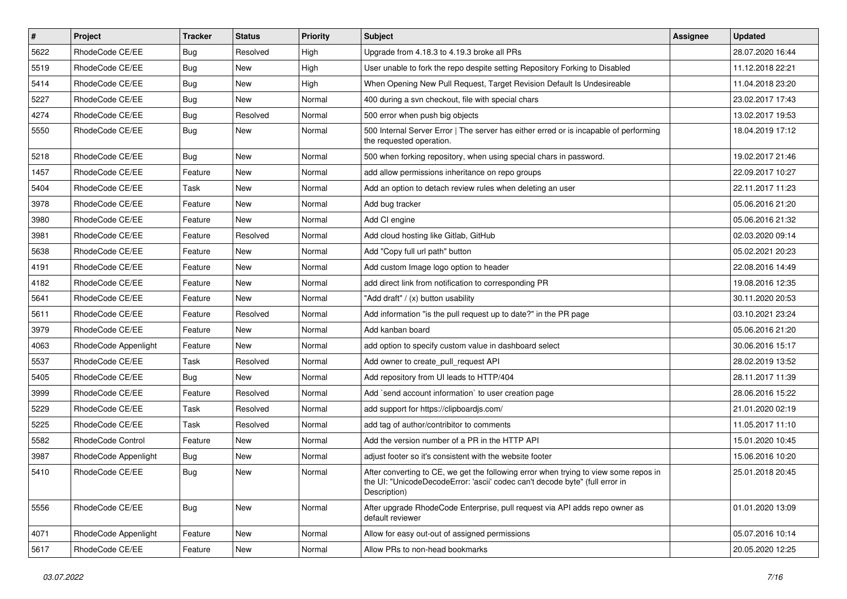| $\vert$ # | Project              | <b>Tracker</b> | <b>Status</b> | Priority | <b>Subject</b>                                                                                                                                                                       | <b>Assignee</b> | <b>Updated</b>   |
|-----------|----------------------|----------------|---------------|----------|--------------------------------------------------------------------------------------------------------------------------------------------------------------------------------------|-----------------|------------------|
| 5622      | RhodeCode CE/EE      | Bug            | Resolved      | High     | Upgrade from 4.18.3 to 4.19.3 broke all PRs                                                                                                                                          |                 | 28.07.2020 16:44 |
| 5519      | RhodeCode CE/EE      | Bug            | <b>New</b>    | High     | User unable to fork the repo despite setting Repository Forking to Disabled                                                                                                          |                 | 11.12.2018 22:21 |
| 5414      | RhodeCode CE/EE      | Bug            | New           | High     | When Opening New Pull Request, Target Revision Default Is Undesireable                                                                                                               |                 | 11.04.2018 23:20 |
| 5227      | RhodeCode CE/EE      | Bug            | New           | Normal   | 400 during a svn checkout, file with special chars                                                                                                                                   |                 | 23.02.2017 17:43 |
| 4274      | RhodeCode CE/EE      | Bug            | Resolved      | Normal   | 500 error when push big objects                                                                                                                                                      |                 | 13.02.2017 19:53 |
| 5550      | RhodeCode CE/EE      | Bug            | New           | Normal   | 500 Internal Server Error   The server has either erred or is incapable of performing<br>the requested operation.                                                                    |                 | 18.04.2019 17:12 |
| 5218      | RhodeCode CE/EE      | Bug            | <b>New</b>    | Normal   | 500 when forking repository, when using special chars in password.                                                                                                                   |                 | 19.02.2017 21:46 |
| 1457      | RhodeCode CE/EE      | Feature        | New           | Normal   | add allow permissions inheritance on repo groups                                                                                                                                     |                 | 22.09.2017 10:27 |
| 5404      | RhodeCode CE/EE      | Task           | <b>New</b>    | Normal   | Add an option to detach review rules when deleting an user                                                                                                                           |                 | 22.11.2017 11:23 |
| 3978      | RhodeCode CE/EE      | Feature        | New           | Normal   | Add bug tracker                                                                                                                                                                      |                 | 05.06.2016 21:20 |
| 3980      | RhodeCode CE/EE      | Feature        | New           | Normal   | Add CI engine                                                                                                                                                                        |                 | 05.06.2016 21:32 |
| 3981      | RhodeCode CE/EE      | Feature        | Resolved      | Normal   | Add cloud hosting like Gitlab, GitHub                                                                                                                                                |                 | 02.03.2020 09:14 |
| 5638      | RhodeCode CE/EE      | Feature        | New           | Normal   | Add "Copy full url path" button                                                                                                                                                      |                 | 05.02.2021 20:23 |
| 4191      | RhodeCode CE/EE      | Feature        | <b>New</b>    | Normal   | Add custom Image logo option to header                                                                                                                                               |                 | 22.08.2016 14:49 |
| 4182      | RhodeCode CE/EE      | Feature        | New           | Normal   | add direct link from notification to corresponding PR                                                                                                                                |                 | 19.08.2016 12:35 |
| 5641      | RhodeCode CE/EE      | Feature        | <b>New</b>    | Normal   | "Add draft" / (x) button usability                                                                                                                                                   |                 | 30.11.2020 20:53 |
| 5611      | RhodeCode CE/EE      | Feature        | Resolved      | Normal   | Add information "is the pull request up to date?" in the PR page                                                                                                                     |                 | 03.10.2021 23:24 |
| 3979      | RhodeCode CE/EE      | Feature        | New           | Normal   | Add kanban board                                                                                                                                                                     |                 | 05.06.2016 21:20 |
| 4063      | RhodeCode Appenlight | Feature        | <b>New</b>    | Normal   | add option to specify custom value in dashboard select                                                                                                                               |                 | 30.06.2016 15:17 |
| 5537      | RhodeCode CE/EE      | Task           | Resolved      | Normal   | Add owner to create_pull_request API                                                                                                                                                 |                 | 28.02.2019 13:52 |
| 5405      | RhodeCode CE/EE      | Bug            | New           | Normal   | Add repository from UI leads to HTTP/404                                                                                                                                             |                 | 28.11.2017 11:39 |
| 3999      | RhodeCode CE/EE      | Feature        | Resolved      | Normal   | Add `send account information` to user creation page                                                                                                                                 |                 | 28.06.2016 15:22 |
| 5229      | RhodeCode CE/EE      | Task           | Resolved      | Normal   | add support for https://clipboardjs.com/                                                                                                                                             |                 | 21.01.2020 02:19 |
| 5225      | RhodeCode CE/EE      | Task           | Resolved      | Normal   | add tag of author/contribitor to comments                                                                                                                                            |                 | 11.05.2017 11:10 |
| 5582      | RhodeCode Control    | Feature        | New           | Normal   | Add the version number of a PR in the HTTP API                                                                                                                                       |                 | 15.01.2020 10:45 |
| 3987      | RhodeCode Appenlight | Bug            | New           | Normal   | adjust footer so it's consistent with the website footer                                                                                                                             |                 | 15.06.2016 10:20 |
| 5410      | RhodeCode CE/EE      | Bug            | <b>New</b>    | Normal   | After converting to CE, we get the following error when trying to view some repos in<br>the UI: "UnicodeDecodeError: 'ascii' codec can't decode byte" (full error in<br>Description) |                 | 25.01.2018 20:45 |
| 5556      | RhodeCode CE/EE      | <b>Bug</b>     | New           | Normal   | After upgrade RhodeCode Enterprise, pull request via API adds repo owner as<br>default reviewer                                                                                      |                 | 01.01.2020 13:09 |
| 4071      | RhodeCode Appenlight | Feature        | New           | Normal   | Allow for easy out-out of assigned permissions                                                                                                                                       |                 | 05.07.2016 10:14 |
| 5617      | RhodeCode CE/EE      | Feature        | New           | Normal   | Allow PRs to non-head bookmarks                                                                                                                                                      |                 | 20.05.2020 12:25 |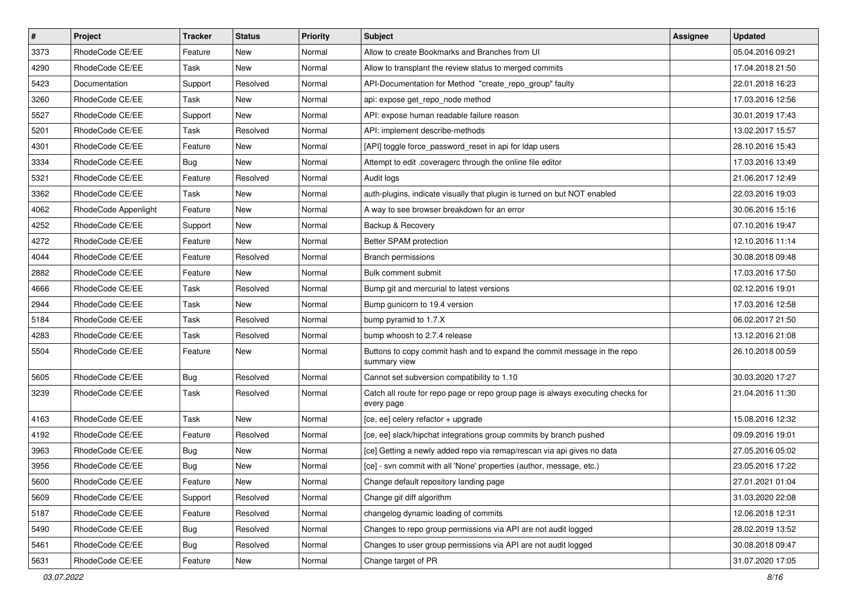| $\sharp$ | Project              | <b>Tracker</b> | <b>Status</b> | <b>Priority</b> | <b>Subject</b>                                                                                | <b>Assignee</b> | <b>Updated</b>   |
|----------|----------------------|----------------|---------------|-----------------|-----------------------------------------------------------------------------------------------|-----------------|------------------|
| 3373     | RhodeCode CE/EE      | Feature        | New           | Normal          | Allow to create Bookmarks and Branches from UI                                                |                 | 05.04.2016 09:21 |
| 4290     | RhodeCode CE/EE      | Task           | <b>New</b>    | Normal          | Allow to transplant the review status to merged commits                                       |                 | 17.04.2018 21:50 |
| 5423     | Documentation        | Support        | Resolved      | Normal          | API-Documentation for Method "create_repo_group" faulty                                       |                 | 22.01.2018 16:23 |
| 3260     | RhodeCode CE/EE      | Task           | <b>New</b>    | Normal          | api: expose get_repo_node method                                                              |                 | 17.03.2016 12:56 |
| 5527     | RhodeCode CE/EE      | Support        | New           | Normal          | API: expose human readable failure reason                                                     |                 | 30.01.2019 17:43 |
| 5201     | RhodeCode CE/EE      | Task           | Resolved      | Normal          | API: implement describe-methods                                                               |                 | 13.02.2017 15:57 |
| 4301     | RhodeCode CE/EE      | Feature        | New           | Normal          | [API] toggle force password reset in api for Idap users                                       |                 | 28.10.2016 15:43 |
| 3334     | RhodeCode CE/EE      | Bug            | <b>New</b>    | Normal          | Attempt to edit .coveragerc through the online file editor                                    |                 | 17.03.2016 13:49 |
| 5321     | RhodeCode CE/EE      | Feature        | Resolved      | Normal          | Audit logs                                                                                    |                 | 21.06.2017 12:49 |
| 3362     | RhodeCode CE/EE      | Task           | <b>New</b>    | Normal          | auth-plugins, indicate visually that plugin is turned on but NOT enabled                      |                 | 22.03.2016 19:03 |
| 4062     | RhodeCode Appenlight | Feature        | New           | Normal          | A way to see browser breakdown for an error                                                   |                 | 30.06.2016 15:16 |
| 4252     | RhodeCode CE/EE      | Support        | New           | Normal          | Backup & Recovery                                                                             |                 | 07.10.2016 19:47 |
| 4272     | RhodeCode CE/EE      | Feature        | <b>New</b>    | Normal          | Better SPAM protection                                                                        |                 | 12.10.2016 11:14 |
| 4044     | RhodeCode CE/EE      | Feature        | Resolved      | Normal          | <b>Branch permissions</b>                                                                     |                 | 30.08.2018 09:48 |
| 2882     | RhodeCode CE/EE      | Feature        | <b>New</b>    | Normal          | Bulk comment submit                                                                           |                 | 17.03.2016 17:50 |
| 4666     | RhodeCode CE/EE      | Task           | Resolved      | Normal          | Bump git and mercurial to latest versions                                                     |                 | 02.12.2016 19:01 |
| 2944     | RhodeCode CE/EE      | Task           | New           | Normal          | Bump gunicorn to 19.4 version                                                                 |                 | 17.03.2016 12:58 |
| 5184     | RhodeCode CE/EE      | Task           | Resolved      | Normal          | bump pyramid to 1.7.X                                                                         |                 | 06.02.2017 21:50 |
| 4283     | RhodeCode CE/EE      | Task           | Resolved      | Normal          | bump whoosh to 2.7.4 release                                                                  |                 | 13.12.2016 21:08 |
| 5504     | RhodeCode CE/EE      | Feature        | New           | Normal          | Buttons to copy commit hash and to expand the commit message in the repo<br>summary view      |                 | 26.10.2018 00:59 |
| 5605     | RhodeCode CE/EE      | Bug            | Resolved      | Normal          | Cannot set subversion compatibility to 1.10                                                   |                 | 30.03.2020 17:27 |
| 3239     | RhodeCode CE/EE      | Task           | Resolved      | Normal          | Catch all route for repo page or repo group page is always executing checks for<br>every page |                 | 21.04.2016 11:30 |
| 4163     | RhodeCode CE/EE      | Task           | New           | Normal          | [ce, ee] celery refactor + upgrade                                                            |                 | 15.08.2016 12:32 |
| 4192     | RhodeCode CE/EE      | Feature        | Resolved      | Normal          | [ce, ee] slack/hipchat integrations group commits by branch pushed                            |                 | 09.09.2016 19:01 |
| 3963     | RhodeCode CE/EE      | <b>Bug</b>     | New           | Normal          | [ce] Getting a newly added repo via remap/rescan via api gives no data                        |                 | 27.05.2016 05:02 |
| 3956     | RhodeCode CE/EE      | Bug            | New           | Normal          | [ce] - svn commit with all 'None' properties (author, message, etc.)                          |                 | 23.05.2016 17:22 |
| 5600     | RhodeCode CE/EE      | Feature        | New           | Normal          | Change default repository landing page                                                        |                 | 27.01.2021 01:04 |
| 5609     | RhodeCode CE/EE      | Support        | Resolved      | Normal          | Change git diff algorithm                                                                     |                 | 31.03.2020 22:08 |
| 5187     | RhodeCode CE/EE      | Feature        | Resolved      | Normal          | changelog dynamic loading of commits                                                          |                 | 12.06.2018 12:31 |
| 5490     | RhodeCode CE/EE      | Bug            | Resolved      | Normal          | Changes to repo group permissions via API are not audit logged                                |                 | 28.02.2019 13:52 |
| 5461     | RhodeCode CE/EE      | Bug            | Resolved      | Normal          | Changes to user group permissions via API are not audit logged                                |                 | 30.08.2018 09:47 |
| 5631     | RhodeCode CE/EE      | Feature        | New           | Normal          | Change target of PR                                                                           |                 | 31.07.2020 17:05 |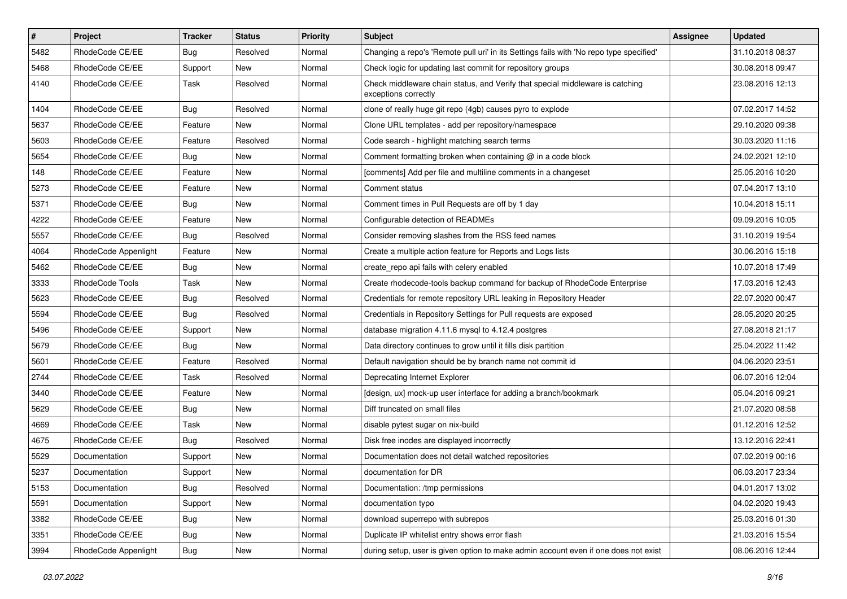| $\pmb{\#}$ | <b>Project</b>       | <b>Tracker</b> | <b>Status</b> | <b>Priority</b> | <b>Subject</b>                                                                                        | <b>Assignee</b> | <b>Updated</b>   |
|------------|----------------------|----------------|---------------|-----------------|-------------------------------------------------------------------------------------------------------|-----------------|------------------|
| 5482       | RhodeCode CE/EE      | Bug            | Resolved      | Normal          | Changing a repo's 'Remote pull uri' in its Settings fails with 'No repo type specified'               |                 | 31.10.2018 08:37 |
| 5468       | RhodeCode CE/EE      | Support        | <b>New</b>    | Normal          | Check logic for updating last commit for repository groups                                            |                 | 30.08.2018 09:47 |
| 4140       | RhodeCode CE/EE      | Task           | Resolved      | Normal          | Check middleware chain status, and Verify that special middleware is catching<br>exceptions correctly |                 | 23.08.2016 12:13 |
| 1404       | RhodeCode CE/EE      | Bug            | Resolved      | Normal          | clone of really huge git repo (4gb) causes pyro to explode                                            |                 | 07.02.2017 14:52 |
| 5637       | RhodeCode CE/EE      | Feature        | <b>New</b>    | Normal          | Clone URL templates - add per repository/namespace                                                    |                 | 29.10.2020 09:38 |
| 5603       | RhodeCode CE/EE      | Feature        | Resolved      | Normal          | Code search - highlight matching search terms                                                         |                 | 30.03.2020 11:16 |
| 5654       | RhodeCode CE/EE      | Bug            | New           | Normal          | Comment formatting broken when containing @ in a code block                                           |                 | 24.02.2021 12:10 |
| 148        | RhodeCode CE/EE      | Feature        | <b>New</b>    | Normal          | [comments] Add per file and multiline comments in a changeset                                         |                 | 25.05.2016 10:20 |
| 5273       | RhodeCode CE/EE      | Feature        | <b>New</b>    | Normal          | Comment status                                                                                        |                 | 07.04.2017 13:10 |
| 5371       | RhodeCode CE/EE      | Bug            | New           | Normal          | Comment times in Pull Requests are off by 1 day                                                       |                 | 10.04.2018 15:11 |
| 4222       | RhodeCode CE/EE      | Feature        | New           | Normal          | Configurable detection of READMEs                                                                     |                 | 09.09.2016 10:05 |
| 5557       | RhodeCode CE/EE      | Bug            | Resolved      | Normal          | Consider removing slashes from the RSS feed names                                                     |                 | 31.10.2019 19:54 |
| 4064       | RhodeCode Appenlight | Feature        | New           | Normal          | Create a multiple action feature for Reports and Logs lists                                           |                 | 30.06.2016 15:18 |
| 5462       | RhodeCode CE/EE      | Bug            | New           | Normal          | create repo api fails with celery enabled                                                             |                 | 10.07.2018 17:49 |
| 3333       | RhodeCode Tools      | Task           | New           | Normal          | Create rhodecode-tools backup command for backup of RhodeCode Enterprise                              |                 | 17.03.2016 12:43 |
| 5623       | RhodeCode CE/EE      | Bug            | Resolved      | Normal          | Credentials for remote repository URL leaking in Repository Header                                    |                 | 22.07.2020 00:47 |
| 5594       | RhodeCode CE/EE      | Bug            | Resolved      | Normal          | Credentials in Repository Settings for Pull requests are exposed                                      |                 | 28.05.2020 20:25 |
| 5496       | RhodeCode CE/EE      | Support        | New           | Normal          | database migration 4.11.6 mysql to 4.12.4 postgres                                                    |                 | 27.08.2018 21:17 |
| 5679       | RhodeCode CE/EE      | Bug            | <b>New</b>    | Normal          | Data directory continues to grow until it fills disk partition                                        |                 | 25.04.2022 11:42 |
| 5601       | RhodeCode CE/EE      | Feature        | Resolved      | Normal          | Default navigation should be by branch name not commit id                                             |                 | 04.06.2020 23:51 |
| 2744       | RhodeCode CE/EE      | Task           | Resolved      | Normal          | Deprecating Internet Explorer                                                                         |                 | 06.07.2016 12:04 |
| 3440       | RhodeCode CE/EE      | Feature        | <b>New</b>    | Normal          | [design, ux] mock-up user interface for adding a branch/bookmark                                      |                 | 05.04.2016 09:21 |
| 5629       | RhodeCode CE/EE      | Bug            | New           | Normal          | Diff truncated on small files                                                                         |                 | 21.07.2020 08:58 |
| 4669       | RhodeCode CE/EE      | Task           | New           | Normal          | disable pytest sugar on nix-build                                                                     |                 | 01.12.2016 12:52 |
| 4675       | RhodeCode CE/EE      | Bug            | Resolved      | Normal          | Disk free inodes are displayed incorrectly                                                            |                 | 13.12.2016 22:41 |
| 5529       | Documentation        | Support        | New           | Normal          | Documentation does not detail watched repositories                                                    |                 | 07.02.2019 00:16 |
| 5237       | Documentation        | Support        | New           | Normal          | documentation for DR                                                                                  |                 | 06.03.2017 23:34 |
| 5153       | Documentation        | <b>Bug</b>     | Resolved      | Normal          | Documentation: /tmp permissions                                                                       |                 | 04.01.2017 13:02 |
| 5591       | Documentation        | Support        | New           | Normal          | documentation typo                                                                                    |                 | 04.02.2020 19:43 |
| 3382       | RhodeCode CE/EE      | Bug            | New           | Normal          | download superrepo with subrepos                                                                      |                 | 25.03.2016 01:30 |
| 3351       | RhodeCode CE/EE      | <b>Bug</b>     | New           | Normal          | Duplicate IP whitelist entry shows error flash                                                        |                 | 21.03.2016 15:54 |
| 3994       | RhodeCode Appenlight | Bug            | New           | Normal          | during setup, user is given option to make admin account even if one does not exist                   |                 | 08.06.2016 12:44 |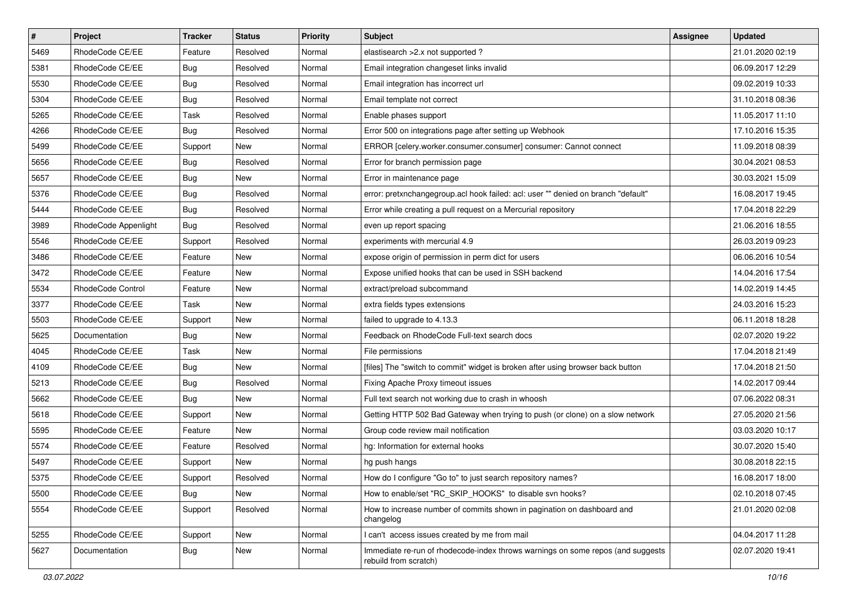| $\sharp$ | Project              | <b>Tracker</b> | <b>Status</b> | Priority | <b>Subject</b>                                                                                           | Assignee | <b>Updated</b>   |
|----------|----------------------|----------------|---------------|----------|----------------------------------------------------------------------------------------------------------|----------|------------------|
| 5469     | RhodeCode CE/EE      | Feature        | Resolved      | Normal   | elastisearch > 2.x not supported ?                                                                       |          | 21.01.2020 02:19 |
| 5381     | RhodeCode CE/EE      | Bug            | Resolved      | Normal   | Email integration changeset links invalid                                                                |          | 06.09.2017 12:29 |
| 5530     | RhodeCode CE/EE      | Bug            | Resolved      | Normal   | Email integration has incorrect url                                                                      |          | 09.02.2019 10:33 |
| 5304     | RhodeCode CE/EE      | <b>Bug</b>     | Resolved      | Normal   | Email template not correct                                                                               |          | 31.10.2018 08:36 |
| 5265     | RhodeCode CE/EE      | Task           | Resolved      | Normal   | Enable phases support                                                                                    |          | 11.05.2017 11:10 |
| 4266     | RhodeCode CE/EE      | Bug            | Resolved      | Normal   | Error 500 on integrations page after setting up Webhook                                                  |          | 17.10.2016 15:35 |
| 5499     | RhodeCode CE/EE      | Support        | New           | Normal   | ERROR [celery.worker.consumer.consumer] consumer: Cannot connect                                         |          | 11.09.2018 08:39 |
| 5656     | RhodeCode CE/EE      | Bug            | Resolved      | Normal   | Error for branch permission page                                                                         |          | 30.04.2021 08:53 |
| 5657     | RhodeCode CE/EE      | Bug            | <b>New</b>    | Normal   | Error in maintenance page                                                                                |          | 30.03.2021 15:09 |
| 5376     | RhodeCode CE/EE      | <b>Bug</b>     | Resolved      | Normal   | error: pretxnchangegroup.acl hook failed: acl: user "" denied on branch "default"                        |          | 16.08.2017 19:45 |
| 5444     | RhodeCode CE/EE      | <b>Bug</b>     | Resolved      | Normal   | Error while creating a pull request on a Mercurial repository                                            |          | 17.04.2018 22:29 |
| 3989     | RhodeCode Appenlight | Bug            | Resolved      | Normal   | even up report spacing                                                                                   |          | 21.06.2016 18:55 |
| 5546     | RhodeCode CE/EE      | Support        | Resolved      | Normal   | experiments with mercurial 4.9                                                                           |          | 26.03.2019 09:23 |
| 3486     | RhodeCode CE/EE      | Feature        | New           | Normal   | expose origin of permission in perm dict for users                                                       |          | 06.06.2016 10:54 |
| 3472     | RhodeCode CE/EE      | Feature        | New           | Normal   | Expose unified hooks that can be used in SSH backend                                                     |          | 14.04.2016 17:54 |
| 5534     | RhodeCode Control    | Feature        | New           | Normal   | extract/preload subcommand                                                                               |          | 14.02.2019 14:45 |
| 3377     | RhodeCode CE/EE      | Task           | New           | Normal   | extra fields types extensions                                                                            |          | 24.03.2016 15:23 |
| 5503     | RhodeCode CE/EE      | Support        | <b>New</b>    | Normal   | failed to upgrade to 4.13.3                                                                              |          | 06.11.2018 18:28 |
| 5625     | Documentation        | <b>Bug</b>     | New           | Normal   | Feedback on RhodeCode Full-text search docs                                                              |          | 02.07.2020 19:22 |
| 4045     | RhodeCode CE/EE      | Task           | New           | Normal   | File permissions                                                                                         |          | 17.04.2018 21:49 |
| 4109     | RhodeCode CE/EE      | Bug            | New           | Normal   | [files] The "switch to commit" widget is broken after using browser back button                          |          | 17.04.2018 21:50 |
| 5213     | RhodeCode CE/EE      | <b>Bug</b>     | Resolved      | Normal   | Fixing Apache Proxy timeout issues                                                                       |          | 14.02.2017 09:44 |
| 5662     | RhodeCode CE/EE      | <b>Bug</b>     | <b>New</b>    | Normal   | Full text search not working due to crash in whoosh                                                      |          | 07.06.2022 08:31 |
| 5618     | RhodeCode CE/EE      | Support        | New           | Normal   | Getting HTTP 502 Bad Gateway when trying to push (or clone) on a slow network                            |          | 27.05.2020 21:56 |
| 5595     | RhodeCode CE/EE      | Feature        | New           | Normal   | Group code review mail notification                                                                      |          | 03.03.2020 10:17 |
| 5574     | RhodeCode CE/EE      | Feature        | Resolved      | Normal   | hg: Information for external hooks                                                                       |          | 30.07.2020 15:40 |
| 5497     | RhodeCode CE/EE      | Support        | New           | Normal   | hg push hangs                                                                                            |          | 30.08.2018 22:15 |
| 5375     | RhodeCode CE/EE      | Support        | Resolved      | Normal   | How do I configure "Go to" to just search repository names?                                              |          | 16.08.2017 18:00 |
| 5500     | RhodeCode CE/EE      | Bug            | New           | Normal   | How to enable/set "RC_SKIP_HOOKS" to disable svn hooks?                                                  |          | 02.10.2018 07:45 |
| 5554     | RhodeCode CE/EE      | Support        | Resolved      | Normal   | How to increase number of commits shown in pagination on dashboard and<br>changelog                      |          | 21.01.2020 02:08 |
| 5255     | RhodeCode CE/EE      | Support        | New           | Normal   | I can't access issues created by me from mail                                                            |          | 04.04.2017 11:28 |
| 5627     | Documentation        | <b>Bug</b>     | New           | Normal   | Immediate re-run of rhodecode-index throws warnings on some repos (and suggests<br>rebuild from scratch) |          | 02.07.2020 19:41 |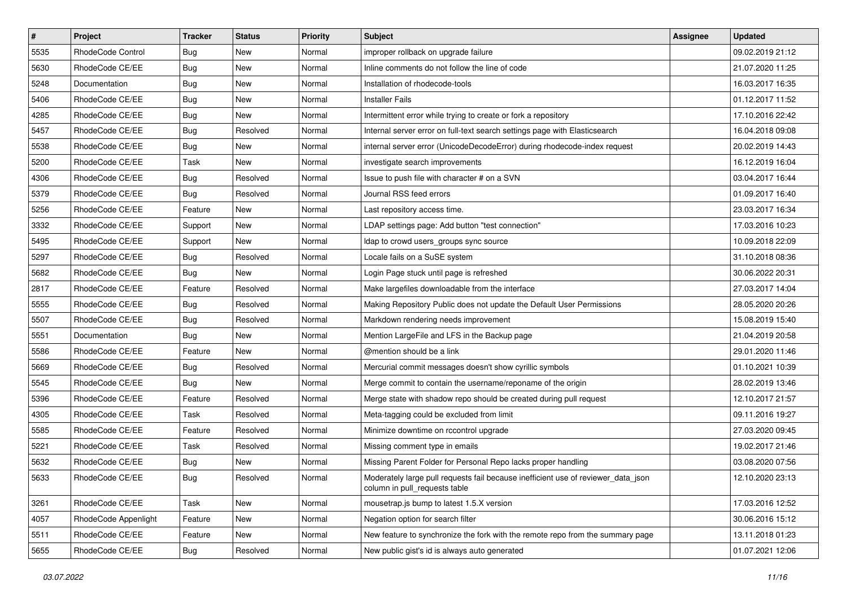| $\pmb{\#}$ | Project              | <b>Tracker</b> | <b>Status</b> | Priority | <b>Subject</b>                                                                                                     | <b>Assignee</b> | <b>Updated</b>   |
|------------|----------------------|----------------|---------------|----------|--------------------------------------------------------------------------------------------------------------------|-----------------|------------------|
| 5535       | RhodeCode Control    | Bug            | New           | Normal   | improper rollback on upgrade failure                                                                               |                 | 09.02.2019 21:12 |
| 5630       | RhodeCode CE/EE      | Bug            | New           | Normal   | Inline comments do not follow the line of code                                                                     |                 | 21.07.2020 11:25 |
| 5248       | Documentation        | <b>Bug</b>     | New           | Normal   | Installation of rhodecode-tools                                                                                    |                 | 16.03.2017 16:35 |
| 5406       | RhodeCode CE/EE      | Bug            | New           | Normal   | <b>Installer Fails</b>                                                                                             |                 | 01.12.2017 11:52 |
| 4285       | RhodeCode CE/EE      | Bug            | <b>New</b>    | Normal   | Intermittent error while trying to create or fork a repository                                                     |                 | 17.10.2016 22:42 |
| 5457       | RhodeCode CE/EE      | Bug            | Resolved      | Normal   | Internal server error on full-text search settings page with Elasticsearch                                         |                 | 16.04.2018 09:08 |
| 5538       | RhodeCode CE/EE      | <b>Bug</b>     | New           | Normal   | internal server error (UnicodeDecodeError) during rhodecode-index request                                          |                 | 20.02.2019 14:43 |
| 5200       | RhodeCode CE/EE      | Task           | <b>New</b>    | Normal   | investigate search improvements                                                                                    |                 | 16.12.2019 16:04 |
| 4306       | RhodeCode CE/EE      | Bug            | Resolved      | Normal   | Issue to push file with character # on a SVN                                                                       |                 | 03.04.2017 16:44 |
| 5379       | RhodeCode CE/EE      | Bug            | Resolved      | Normal   | Journal RSS feed errors                                                                                            |                 | 01.09.2017 16:40 |
| 5256       | RhodeCode CE/EE      | Feature        | New           | Normal   | Last repository access time.                                                                                       |                 | 23.03.2017 16:34 |
| 3332       | RhodeCode CE/EE      | Support        | New           | Normal   | LDAP settings page: Add button "test connection"                                                                   |                 | 17.03.2016 10:23 |
| 5495       | RhodeCode CE/EE      | Support        | <b>New</b>    | Normal   | Idap to crowd users_groups sync source                                                                             |                 | 10.09.2018 22:09 |
| 5297       | RhodeCode CE/EE      | Bug            | Resolved      | Normal   | Locale fails on a SuSE system                                                                                      |                 | 31.10.2018 08:36 |
| 5682       | RhodeCode CE/EE      | Bug            | <b>New</b>    | Normal   | Login Page stuck until page is refreshed                                                                           |                 | 30.06.2022 20:31 |
| 2817       | RhodeCode CE/EE      | Feature        | Resolved      | Normal   | Make largefiles downloadable from the interface                                                                    |                 | 27.03.2017 14:04 |
| 5555       | RhodeCode CE/EE      | <b>Bug</b>     | Resolved      | Normal   | Making Repository Public does not update the Default User Permissions                                              |                 | 28.05.2020 20:26 |
| 5507       | RhodeCode CE/EE      | <b>Bug</b>     | Resolved      | Normal   | Markdown rendering needs improvement                                                                               |                 | 15.08.2019 15:40 |
| 5551       | Documentation        | Bug            | New           | Normal   | Mention LargeFile and LFS in the Backup page                                                                       |                 | 21.04.2019 20:58 |
| 5586       | RhodeCode CE/EE      | Feature        | <b>New</b>    | Normal   | @mention should be a link                                                                                          |                 | 29.01.2020 11:46 |
| 5669       | RhodeCode CE/EE      | Bug            | Resolved      | Normal   | Mercurial commit messages doesn't show cyrillic symbols                                                            |                 | 01.10.2021 10:39 |
| 5545       | RhodeCode CE/EE      | Bug            | New           | Normal   | Merge commit to contain the username/reponame of the origin                                                        |                 | 28.02.2019 13:46 |
| 5396       | RhodeCode CE/EE      | Feature        | Resolved      | Normal   | Merge state with shadow repo should be created during pull request                                                 |                 | 12.10.2017 21:57 |
| 4305       | RhodeCode CE/EE      | Task           | Resolved      | Normal   | Meta-tagging could be excluded from limit                                                                          |                 | 09.11.2016 19:27 |
| 5585       | RhodeCode CE/EE      | Feature        | Resolved      | Normal   | Minimize downtime on rccontrol upgrade                                                                             |                 | 27.03.2020 09:45 |
| 5221       | RhodeCode CE/EE      | Task           | Resolved      | Normal   | Missing comment type in emails                                                                                     |                 | 19.02.2017 21:46 |
| 5632       | RhodeCode CE/EE      | Bug            | New           | Normal   | Missing Parent Folder for Personal Repo lacks proper handling                                                      |                 | 03.08.2020 07:56 |
| 5633       | RhodeCode CE/EE      | <b>Bug</b>     | Resolved      | Normal   | Moderately large pull requests fail because inefficient use of reviewer_data_json<br>column in pull requests table |                 | 12.10.2020 23:13 |
| 3261       | RhodeCode CE/EE      | Task           | New           | Normal   | mousetrap.js bump to latest 1.5.X version                                                                          |                 | 17.03.2016 12:52 |
| 4057       | RhodeCode Appenlight | Feature        | New           | Normal   | Negation option for search filter                                                                                  |                 | 30.06.2016 15:12 |
| 5511       | RhodeCode CE/EE      | Feature        | New           | Normal   | New feature to synchronize the fork with the remote repo from the summary page                                     |                 | 13.11.2018 01:23 |
| 5655       | RhodeCode CE/EE      | Bug            | Resolved      | Normal   | New public gist's id is always auto generated                                                                      |                 | 01.07.2021 12:06 |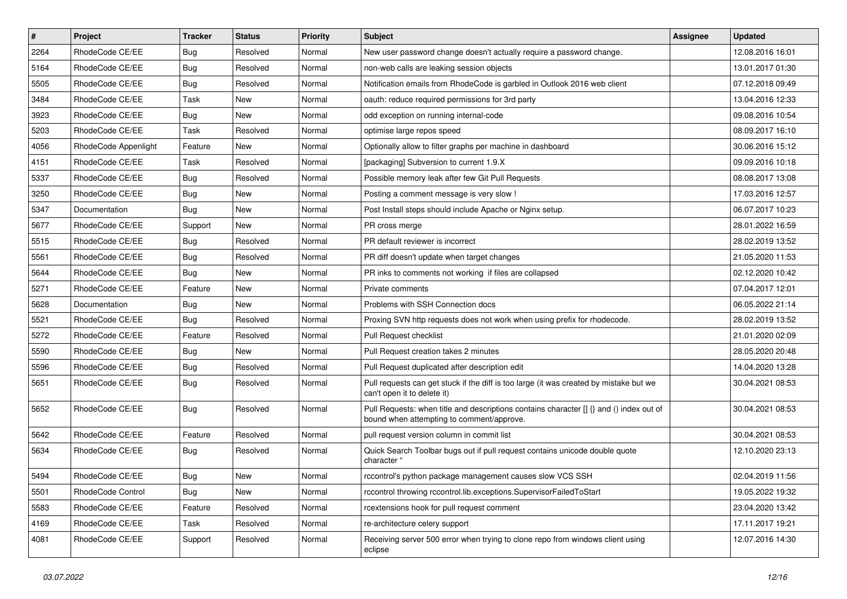| $\sharp$ | Project              | <b>Tracker</b> | <b>Status</b> | Priority | <b>Subject</b>                                                                                                                       | <b>Assignee</b> | <b>Updated</b>   |
|----------|----------------------|----------------|---------------|----------|--------------------------------------------------------------------------------------------------------------------------------------|-----------------|------------------|
| 2264     | RhodeCode CE/EE      | <b>Bug</b>     | Resolved      | Normal   | New user password change doesn't actually require a password change.                                                                 |                 | 12.08.2016 16:01 |
| 5164     | RhodeCode CE/EE      | Bug            | Resolved      | Normal   | non-web calls are leaking session objects                                                                                            |                 | 13.01.2017 01:30 |
| 5505     | RhodeCode CE/EE      | Bug            | Resolved      | Normal   | Notification emails from RhodeCode is garbled in Outlook 2016 web client                                                             |                 | 07.12.2018 09:49 |
| 3484     | RhodeCode CE/EE      | Task           | New           | Normal   | oauth: reduce required permissions for 3rd party                                                                                     |                 | 13.04.2016 12:33 |
| 3923     | RhodeCode CE/EE      | Bug            | <b>New</b>    | Normal   | odd exception on running internal-code                                                                                               |                 | 09.08.2016 10:54 |
| 5203     | RhodeCode CE/EE      | Task           | Resolved      | Normal   | optimise large repos speed                                                                                                           |                 | 08.09.2017 16:10 |
| 4056     | RhodeCode Appenlight | Feature        | New           | Normal   | Optionally allow to filter graphs per machine in dashboard                                                                           |                 | 30.06.2016 15:12 |
| 4151     | RhodeCode CE/EE      | Task           | Resolved      | Normal   | [packaging] Subversion to current 1.9.X                                                                                              |                 | 09.09.2016 10:18 |
| 5337     | RhodeCode CE/EE      | Bug            | Resolved      | Normal   | Possible memory leak after few Git Pull Requests                                                                                     |                 | 08.08.2017 13:08 |
| 3250     | RhodeCode CE/EE      | Bug            | New           | Normal   | Posting a comment message is very slow !                                                                                             |                 | 17.03.2016 12:57 |
| 5347     | Documentation        | Bug            | New           | Normal   | Post Install steps should include Apache or Nginx setup.                                                                             |                 | 06.07.2017 10:23 |
| 5677     | RhodeCode CE/EE      | Support        | New           | Normal   | PR cross merge                                                                                                                       |                 | 28.01.2022 16:59 |
| 5515     | RhodeCode CE/EE      | Bug            | Resolved      | Normal   | PR default reviewer is incorrect                                                                                                     |                 | 28.02.2019 13:52 |
| 5561     | RhodeCode CE/EE      | <b>Bug</b>     | Resolved      | Normal   | PR diff doesn't update when target changes                                                                                           |                 | 21.05.2020 11:53 |
| 5644     | RhodeCode CE/EE      | <b>Bug</b>     | New           | Normal   | PR inks to comments not working if files are collapsed                                                                               |                 | 02.12.2020 10:42 |
| 5271     | RhodeCode CE/EE      | Feature        | New           | Normal   | Private comments                                                                                                                     |                 | 07.04.2017 12:01 |
| 5628     | Documentation        | <b>Bug</b>     | New           | Normal   | Problems with SSH Connection docs                                                                                                    |                 | 06.05.2022 21:14 |
| 5521     | RhodeCode CE/EE      | Bug            | Resolved      | Normal   | Proxing SVN http requests does not work when using prefix for rhodecode.                                                             |                 | 28.02.2019 13:52 |
| 5272     | RhodeCode CE/EE      | Feature        | Resolved      | Normal   | Pull Request checklist                                                                                                               |                 | 21.01.2020 02:09 |
| 5590     | RhodeCode CE/EE      | Bug            | New           | Normal   | Pull Request creation takes 2 minutes                                                                                                |                 | 28.05.2020 20:48 |
| 5596     | RhodeCode CE/EE      | Bug            | Resolved      | Normal   | Pull Request duplicated after description edit                                                                                       |                 | 14.04.2020 13:28 |
| 5651     | RhodeCode CE/EE      | Bug            | Resolved      | Normal   | Pull requests can get stuck if the diff is too large (it was created by mistake but we<br>can't open it to delete it)                |                 | 30.04.2021 08:53 |
| 5652     | RhodeCode CE/EE      | <b>Bug</b>     | Resolved      | Normal   | Pull Requests: when title and descriptions contains character [] {} and () index out of<br>bound when attempting to comment/approve. |                 | 30.04.2021 08:53 |
| 5642     | RhodeCode CE/EE      | Feature        | Resolved      | Normal   | pull request version column in commit list                                                                                           |                 | 30.04.2021 08:53 |
| 5634     | RhodeCode CE/EE      | Bug            | Resolved      | Normal   | Quick Search Toolbar bugs out if pull request contains unicode double quote<br>character "                                           |                 | 12.10.2020 23:13 |
| 5494     | RhodeCode CE/EE      | Bug            | New           | Normal   | rccontrol's python package management causes slow VCS SSH                                                                            |                 | 02.04.2019 11:56 |
| 5501     | RhodeCode Control    | Bug            | New           | Normal   | rccontrol throwing rccontrol.lib.exceptions.SupervisorFailedToStart                                                                  |                 | 19.05.2022 19:32 |
| 5583     | RhodeCode CE/EE      | Feature        | Resolved      | Normal   | rcextensions hook for pull request comment                                                                                           |                 | 23.04.2020 13:42 |
| 4169     | RhodeCode CE/EE      | Task           | Resolved      | Normal   | re-architecture celery support                                                                                                       |                 | 17.11.2017 19:21 |
| 4081     | RhodeCode CE/EE      | Support        | Resolved      | Normal   | Receiving server 500 error when trying to clone repo from windows client using<br>eclipse                                            |                 | 12.07.2016 14:30 |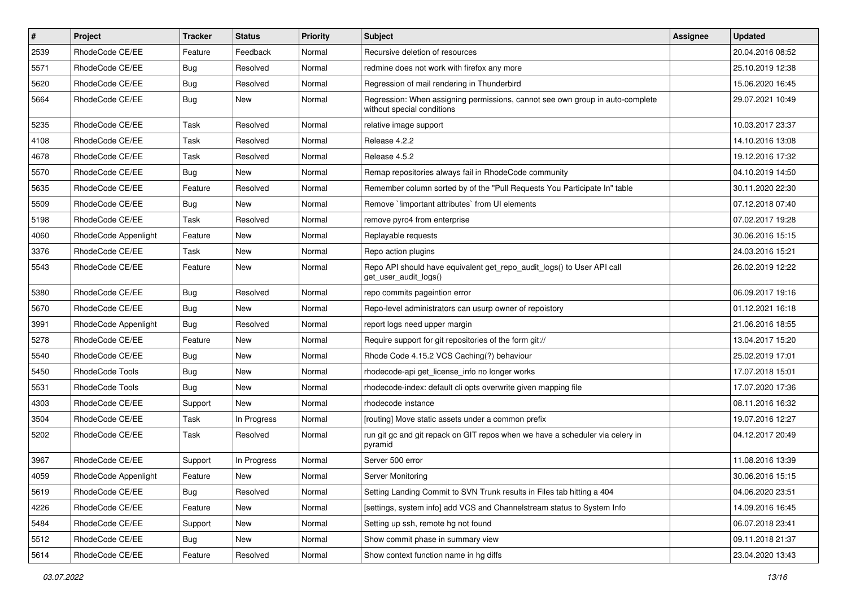| $\pmb{\#}$ | <b>Project</b>       | <b>Tracker</b> | <b>Status</b> | <b>Priority</b> | <b>Subject</b>                                                                                              | Assignee | <b>Updated</b>   |
|------------|----------------------|----------------|---------------|-----------------|-------------------------------------------------------------------------------------------------------------|----------|------------------|
| 2539       | RhodeCode CE/EE      | Feature        | Feedback      | Normal          | Recursive deletion of resources                                                                             |          | 20.04.2016 08:52 |
| 5571       | RhodeCode CE/EE      | Bug            | Resolved      | Normal          | redmine does not work with firefox any more                                                                 |          | 25.10.2019 12:38 |
| 5620       | RhodeCode CE/EE      | Bug            | Resolved      | Normal          | Regression of mail rendering in Thunderbird                                                                 |          | 15.06.2020 16:45 |
| 5664       | RhodeCode CE/EE      | Bug            | New           | Normal          | Regression: When assigning permissions, cannot see own group in auto-complete<br>without special conditions |          | 29.07.2021 10:49 |
| 5235       | RhodeCode CE/EE      | Task           | Resolved      | Normal          | relative image support                                                                                      |          | 10.03.2017 23:37 |
| 4108       | RhodeCode CE/EE      | Task           | Resolved      | Normal          | Release 4.2.2                                                                                               |          | 14.10.2016 13:08 |
| 4678       | RhodeCode CE/EE      | Task           | Resolved      | Normal          | Release 4.5.2                                                                                               |          | 19.12.2016 17:32 |
| 5570       | RhodeCode CE/EE      | <b>Bug</b>     | <b>New</b>    | Normal          | Remap repositories always fail in RhodeCode community                                                       |          | 04.10.2019 14:50 |
| 5635       | RhodeCode CE/EE      | Feature        | Resolved      | Normal          | Remember column sorted by of the "Pull Requests You Participate In" table                                   |          | 30.11.2020 22:30 |
| 5509       | RhodeCode CE/EE      | Bug            | New           | Normal          | Remove `limportant attributes` from UI elements                                                             |          | 07.12.2018 07:40 |
| 5198       | RhodeCode CE/EE      | Task           | Resolved      | Normal          | remove pyro4 from enterprise                                                                                |          | 07.02.2017 19:28 |
| 4060       | RhodeCode Appenlight | Feature        | <b>New</b>    | Normal          | Replayable requests                                                                                         |          | 30.06.2016 15:15 |
| 3376       | RhodeCode CE/EE      | Task           | New           | Normal          | Repo action plugins                                                                                         |          | 24.03.2016 15:21 |
| 5543       | RhodeCode CE/EE      | Feature        | New           | Normal          | Repo API should have equivalent get_repo_audit_logs() to User API call<br>get_user_audit_logs()             |          | 26.02.2019 12:22 |
| 5380       | RhodeCode CE/EE      | Bug            | Resolved      | Normal          | repo commits pageintion error                                                                               |          | 06.09.2017 19:16 |
| 5670       | RhodeCode CE/EE      | Bug            | <b>New</b>    | Normal          | Repo-level administrators can usurp owner of repoistory                                                     |          | 01.12.2021 16:18 |
| 3991       | RhodeCode Appenlight | Bug            | Resolved      | Normal          | report logs need upper margin                                                                               |          | 21.06.2016 18:55 |
| 5278       | RhodeCode CE/EE      | Feature        | New           | Normal          | Require support for git repositories of the form git://                                                     |          | 13.04.2017 15:20 |
| 5540       | RhodeCode CE/EE      | Bug            | <b>New</b>    | Normal          | Rhode Code 4.15.2 VCS Caching(?) behaviour                                                                  |          | 25.02.2019 17:01 |
| 5450       | RhodeCode Tools      | Bug            | New           | Normal          | rhodecode-api get license info no longer works                                                              |          | 17.07.2018 15:01 |
| 5531       | RhodeCode Tools      | Bug            | <b>New</b>    | Normal          | rhodecode-index: default cli opts overwrite given mapping file                                              |          | 17.07.2020 17:36 |
| 4303       | RhodeCode CE/EE      | Support        | New           | Normal          | rhodecode instance                                                                                          |          | 08.11.2016 16:32 |
| 3504       | RhodeCode CE/EE      | Task           | In Progress   | Normal          | [routing] Move static assets under a common prefix                                                          |          | 19.07.2016 12:27 |
| 5202       | RhodeCode CE/EE      | Task           | Resolved      | Normal          | run git gc and git repack on GIT repos when we have a scheduler via celery in<br>pyramid                    |          | 04.12.2017 20:49 |
| 3967       | RhodeCode CE/EE      | Support        | In Progress   | Normal          | Server 500 error                                                                                            |          | 11.08.2016 13:39 |
| 4059       | RhodeCode Appenlight | Feature        | New           | Normal          | Server Monitoring                                                                                           |          | 30.06.2016 15:15 |
| 5619       | RhodeCode CE/EE      | Bug            | Resolved      | Normal          | Setting Landing Commit to SVN Trunk results in Files tab hitting a 404                                      |          | 04.06.2020 23:51 |
| 4226       | RhodeCode CE/EE      | Feature        | New           | Normal          | [settings, system info] add VCS and Channelstream status to System Info                                     |          | 14.09.2016 16:45 |
| 5484       | RhodeCode CE/EE      | Support        | New           | Normal          | Setting up ssh, remote hg not found                                                                         |          | 06.07.2018 23:41 |
| 5512       | RhodeCode CE/EE      | Bug            | New           | Normal          | Show commit phase in summary view                                                                           |          | 09.11.2018 21:37 |
| 5614       | RhodeCode CE/EE      | Feature        | Resolved      | Normal          | Show context function name in hg diffs                                                                      |          | 23.04.2020 13:43 |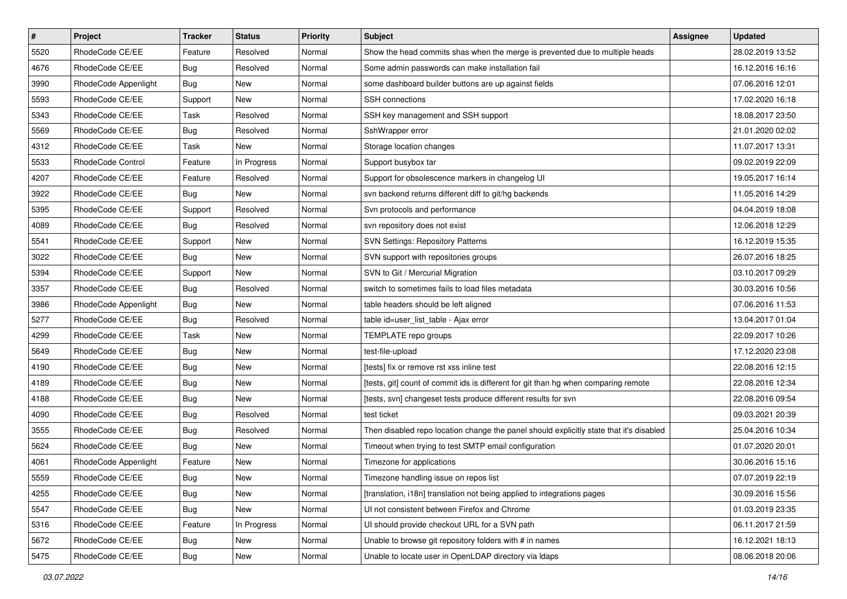| $\pmb{\#}$ | Project              | <b>Tracker</b> | <b>Status</b> | Priority | <b>Subject</b>                                                                          | Assignee | <b>Updated</b>   |
|------------|----------------------|----------------|---------------|----------|-----------------------------------------------------------------------------------------|----------|------------------|
| 5520       | RhodeCode CE/EE      | Feature        | Resolved      | Normal   | Show the head commits shas when the merge is prevented due to multiple heads            |          | 28.02.2019 13:52 |
| 4676       | RhodeCode CE/EE      | Bug            | Resolved      | Normal   | Some admin passwords can make installation fail                                         |          | 16.12.2016 16:16 |
| 3990       | RhodeCode Appenlight | Bug            | New           | Normal   | some dashboard builder buttons are up against fields                                    |          | 07.06.2016 12:01 |
| 5593       | RhodeCode CE/EE      | Support        | <b>New</b>    | Normal   | <b>SSH</b> connections                                                                  |          | 17.02.2020 16:18 |
| 5343       | RhodeCode CE/EE      | Task           | Resolved      | Normal   | SSH key management and SSH support                                                      |          | 18.08.2017 23:50 |
| 5569       | RhodeCode CE/EE      | Bug            | Resolved      | Normal   | SshWrapper error                                                                        |          | 21.01.2020 02:02 |
| 4312       | RhodeCode CE/EE      | Task           | New           | Normal   | Storage location changes                                                                |          | 11.07.2017 13:31 |
| 5533       | RhodeCode Control    | Feature        | In Progress   | Normal   | Support busybox tar                                                                     |          | 09.02.2019 22:09 |
| 4207       | RhodeCode CE/EE      | Feature        | Resolved      | Normal   | Support for obsolescence markers in changelog UI                                        |          | 19.05.2017 16:14 |
| 3922       | RhodeCode CE/EE      | <b>Bug</b>     | <b>New</b>    | Normal   | svn backend returns different diff to git/hg backends                                   |          | 11.05.2016 14:29 |
| 5395       | RhodeCode CE/EE      | Support        | Resolved      | Normal   | Svn protocols and performance                                                           |          | 04.04.2019 18:08 |
| 4089       | RhodeCode CE/EE      | Bug            | Resolved      | Normal   | svn repository does not exist                                                           |          | 12.06.2018 12:29 |
| 5541       | RhodeCode CE/EE      | Support        | <b>New</b>    | Normal   | <b>SVN Settings: Repository Patterns</b>                                                |          | 16.12.2019 15:35 |
| 3022       | RhodeCode CE/EE      | Bug            | New           | Normal   | SVN support with repositories groups                                                    |          | 26.07.2016 18:25 |
| 5394       | RhodeCode CE/EE      | Support        | New           | Normal   | SVN to Git / Mercurial Migration                                                        |          | 03.10.2017 09:29 |
| 3357       | RhodeCode CE/EE      | Bug            | Resolved      | Normal   | switch to sometimes fails to load files metadata                                        |          | 30.03.2016 10:56 |
| 3986       | RhodeCode Appenlight | <b>Bug</b>     | New           | Normal   | table headers should be left aligned                                                    |          | 07.06.2016 11:53 |
| 5277       | RhodeCode CE/EE      | Bug            | Resolved      | Normal   | table id=user_list_table - Ajax error                                                   |          | 13.04.2017 01:04 |
| 4299       | RhodeCode CE/EE      | Task           | New           | Normal   | TEMPLATE repo groups                                                                    |          | 22.09.2017 10:26 |
| 5649       | RhodeCode CE/EE      | Bug            | New           | Normal   | test-file-upload                                                                        |          | 17.12.2020 23:08 |
| 4190       | RhodeCode CE/EE      | Bug            | New           | Normal   | [tests] fix or remove rst xss inline test                                               |          | 22.08.2016 12:15 |
| 4189       | RhodeCode CE/EE      | <b>Bug</b>     | <b>New</b>    | Normal   | [tests, git] count of commit ids is different for git than hg when comparing remote     |          | 22.08.2016 12:34 |
| 4188       | RhodeCode CE/EE      | <b>Bug</b>     | <b>New</b>    | Normal   | [tests, svn] changeset tests produce different results for svn                          |          | 22.08.2016 09:54 |
| 4090       | RhodeCode CE/EE      | <b>Bug</b>     | Resolved      | Normal   | test ticket                                                                             |          | 09.03.2021 20:39 |
| 3555       | RhodeCode CE/EE      | Bug            | Resolved      | Normal   | Then disabled repo location change the panel should explicitly state that it's disabled |          | 25.04.2016 10:34 |
| 5624       | RhodeCode CE/EE      | Bug            | <b>New</b>    | Normal   | Timeout when trying to test SMTP email configuration                                    |          | 01.07.2020 20:01 |
| 4061       | RhodeCode Appenlight | Feature        | New           | Normal   | Timezone for applications                                                               |          | 30.06.2016 15:16 |
| 5559       | RhodeCode CE/EE      | <b>Bug</b>     | New           | Normal   | Timezone handling issue on repos list                                                   |          | 07.07.2019 22:19 |
| 4255       | RhodeCode CE/EE      | Bug            | New           | Normal   | [translation, i18n] translation not being applied to integrations pages                 |          | 30.09.2016 15:56 |
| 5547       | RhodeCode CE/EE      | Bug            | New           | Normal   | UI not consistent between Firefox and Chrome                                            |          | 01.03.2019 23:35 |
| 5316       | RhodeCode CE/EE      | Feature        | In Progress   | Normal   | UI should provide checkout URL for a SVN path                                           |          | 06.11.2017 21:59 |
| 5672       | RhodeCode CE/EE      | <b>Bug</b>     | New           | Normal   | Unable to browse git repository folders with # in names                                 |          | 16.12.2021 18:13 |
| 5475       | RhodeCode CE/EE      | Bug            | New           | Normal   | Unable to locate user in OpenLDAP directory via Idaps                                   |          | 08.06.2018 20:06 |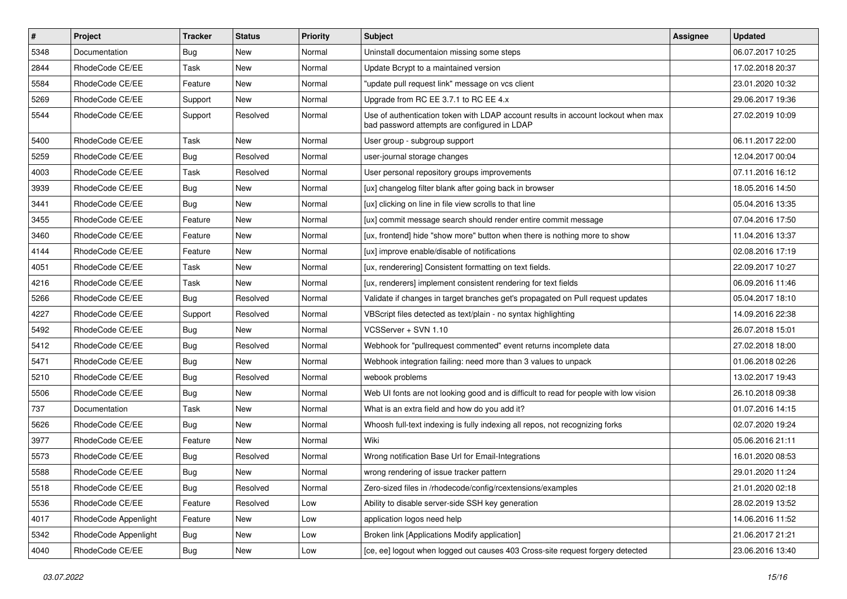| $\vert$ # | Project              | <b>Tracker</b> | <b>Status</b> | <b>Priority</b> | <b>Subject</b>                                                                                                                    | <b>Assignee</b> | <b>Updated</b>   |
|-----------|----------------------|----------------|---------------|-----------------|-----------------------------------------------------------------------------------------------------------------------------------|-----------------|------------------|
| 5348      | Documentation        | <b>Bug</b>     | New           | Normal          | Uninstall documentaion missing some steps                                                                                         |                 | 06.07.2017 10:25 |
| 2844      | RhodeCode CE/EE      | Task           | <b>New</b>    | Normal          | Update Bcrypt to a maintained version                                                                                             |                 | 17.02.2018 20:37 |
| 5584      | RhodeCode CE/EE      | Feature        | New           | Normal          | "update pull request link" message on vcs client                                                                                  |                 | 23.01.2020 10:32 |
| 5269      | RhodeCode CE/EE      | Support        | New           | Normal          | Upgrade from RC EE 3.7.1 to RC EE 4.x                                                                                             |                 | 29.06.2017 19:36 |
| 5544      | RhodeCode CE/EE      | Support        | Resolved      | Normal          | Use of authentication token with LDAP account results in account lockout when max<br>bad password attempts are configured in LDAP |                 | 27.02.2019 10:09 |
| 5400      | RhodeCode CE/EE      | Task           | <b>New</b>    | Normal          | User group - subgroup support                                                                                                     |                 | 06.11.2017 22:00 |
| 5259      | RhodeCode CE/EE      | <b>Bug</b>     | Resolved      | Normal          | user-journal storage changes                                                                                                      |                 | 12.04.2017 00:04 |
| 4003      | RhodeCode CE/EE      | Task           | Resolved      | Normal          | User personal repository groups improvements                                                                                      |                 | 07.11.2016 16:12 |
| 3939      | RhodeCode CE/EE      | Bug            | <b>New</b>    | Normal          | [ux] changelog filter blank after going back in browser                                                                           |                 | 18.05.2016 14:50 |
| 3441      | RhodeCode CE/EE      | Bug            | New           | Normal          | [ux] clicking on line in file view scrolls to that line                                                                           |                 | 05.04.2016 13:35 |
| 3455      | RhodeCode CE/EE      | Feature        | New           | Normal          | [ux] commit message search should render entire commit message                                                                    |                 | 07.04.2016 17:50 |
| 3460      | RhodeCode CE/EE      | Feature        | New           | Normal          | [ux, frontend] hide "show more" button when there is nothing more to show                                                         |                 | 11.04.2016 13:37 |
| 4144      | RhodeCode CE/EE      | Feature        | New           | Normal          | [ux] improve enable/disable of notifications                                                                                      |                 | 02.08.2016 17:19 |
| 4051      | RhodeCode CE/EE      | Task           | <b>New</b>    | Normal          | [ux, renderering] Consistent formatting on text fields.                                                                           |                 | 22.09.2017 10:27 |
| 4216      | RhodeCode CE/EE      | Task           | New           | Normal          | [ux, renderers] implement consistent rendering for text fields                                                                    |                 | 06.09.2016 11:46 |
| 5266      | RhodeCode CE/EE      | Bug            | Resolved      | Normal          | Validate if changes in target branches get's propagated on Pull request updates                                                   |                 | 05.04.2017 18:10 |
| 4227      | RhodeCode CE/EE      | Support        | Resolved      | Normal          | VBScript files detected as text/plain - no syntax highlighting                                                                    |                 | 14.09.2016 22:38 |
| 5492      | RhodeCode CE/EE      | <b>Bug</b>     | New           | Normal          | VCSServer + SVN 1.10                                                                                                              |                 | 26.07.2018 15:01 |
| 5412      | RhodeCode CE/EE      | Bug            | Resolved      | Normal          | Webhook for "pullrequest commented" event returns incomplete data                                                                 |                 | 27.02.2018 18:00 |
| 5471      | RhodeCode CE/EE      | Bug            | New           | Normal          | Webhook integration failing: need more than 3 values to unpack                                                                    |                 | 01.06.2018 02:26 |
| 5210      | RhodeCode CE/EE      | Bug            | Resolved      | Normal          | webook problems                                                                                                                   |                 | 13.02.2017 19:43 |
| 5506      | RhodeCode CE/EE      | Bug            | <b>New</b>    | Normal          | Web UI fonts are not looking good and is difficult to read for people with low vision                                             |                 | 26.10.2018 09:38 |
| 737       | Documentation        | Task           | New           | Normal          | What is an extra field and how do you add it?                                                                                     |                 | 01.07.2016 14:15 |
| 5626      | RhodeCode CE/EE      | Bug            | New           | Normal          | Whoosh full-text indexing is fully indexing all repos, not recognizing forks                                                      |                 | 02.07.2020 19:24 |
| 3977      | RhodeCode CE/EE      | Feature        | New           | Normal          | Wiki                                                                                                                              |                 | 05.06.2016 21:11 |
| 5573      | RhodeCode CE/EE      | Bug            | Resolved      | Normal          | Wrong notification Base Url for Email-Integrations                                                                                |                 | 16.01.2020 08:53 |
| 5588      | RhodeCode CE/EE      | Bug            | <b>New</b>    | Normal          | wrong rendering of issue tracker pattern                                                                                          |                 | 29.01.2020 11:24 |
| 5518      | RhodeCode CE/EE      | <b>Bug</b>     | Resolved      | Normal          | Zero-sized files in /rhodecode/config/rcextensions/examples                                                                       |                 | 21.01.2020 02:18 |
| 5536      | RhodeCode CE/EE      | Feature        | Resolved      | Low             | Ability to disable server-side SSH key generation                                                                                 |                 | 28.02.2019 13:52 |
| 4017      | RhodeCode Appenlight | Feature        | New           | Low             | application logos need help                                                                                                       |                 | 14.06.2016 11:52 |
| 5342      | RhodeCode Appenlight | <b>Bug</b>     | New           | Low             | Broken link [Applications Modify application]                                                                                     |                 | 21.06.2017 21:21 |
| 4040      | RhodeCode CE/EE      | <b>Bug</b>     | New           | Low             | [ce, ee] logout when logged out causes 403 Cross-site request forgery detected                                                    |                 | 23.06.2016 13:40 |